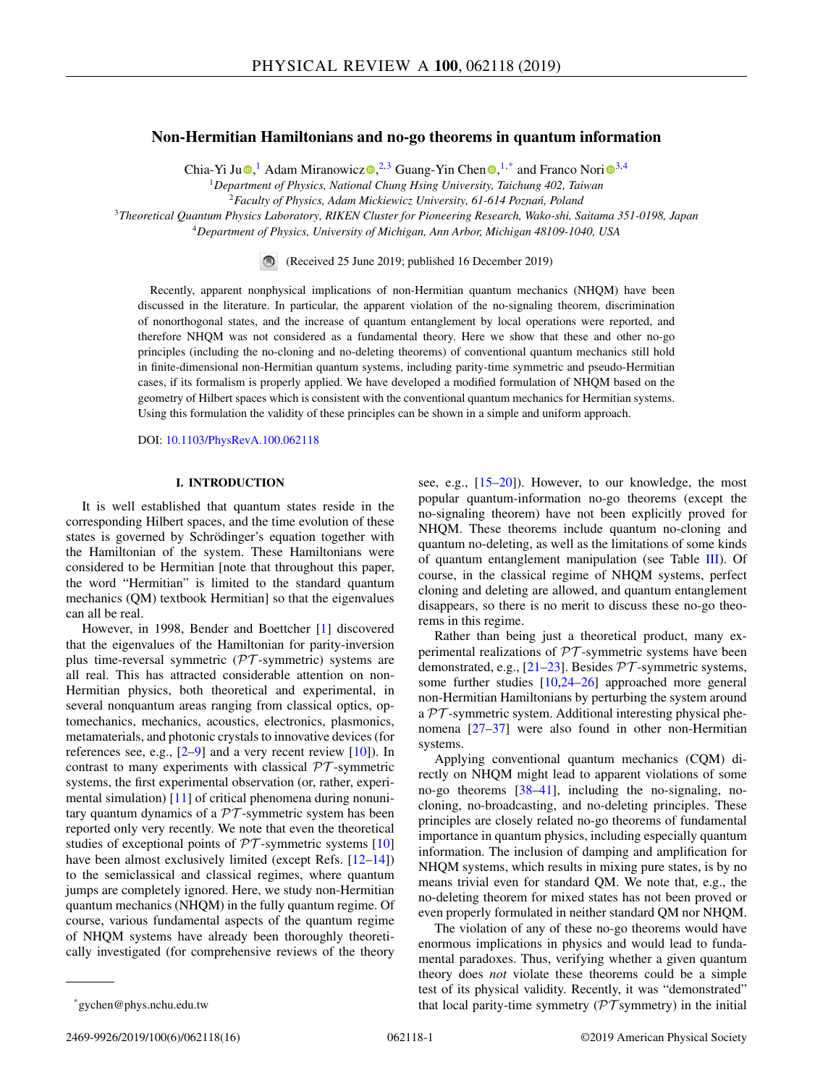# <span id="page-0-0"></span>**Non-Hermitian Hamiltonians and no-go theorems in quantum information**

Ch[i](https://orcid.org/0000-0003-3682-7432)a-Yi Ju $\odot$ [,](https://orcid.org/0000-0002-0075-6428) Adam Miranowic[z](https://orcid.org/0000-0002-8222-9268) $\odot$ ,  $^{2,3}$  Guang-Yin Chen $\odot$ ,  $^{1,*}$  and Franco Nori $\odot$ <sup>3,4</sup>

<sup>1</sup>*Department of Physics, National Chung Hsing University, Taichung 402, Taiwan*

<sup>2</sup> Faculty of Physics, Adam Mickiewicz University, 61-614 Poznań, Poland

<sup>3</sup>*Theoretical Quantum Physics Laboratory, RIKEN Cluster for Pioneering Research, Wako-shi, Saitama 351-0198, Japan*

<sup>4</sup>*Department of Physics, University of Michigan, Ann Arbor, Michigan 48109-1040, USA*

(Received 25 June 2019; published 16 December 2019)

Recently, apparent nonphysical implications of non-Hermitian quantum mechanics (NHQM) have been discussed in the literature. In particular, the apparent violation of the no-signaling theorem, discrimination of nonorthogonal states, and the increase of quantum entanglement by local operations were reported, and therefore NHQM was not considered as a fundamental theory. Here we show that these and other no-go principles (including the no-cloning and no-deleting theorems) of conventional quantum mechanics still hold in finite-dimensional non-Hermitian quantum systems, including parity-time symmetric and pseudo-Hermitian cases, if its formalism is properly applied. We have developed a modified formulation of NHQM based on the geometry of Hilbert spaces which is consistent with the conventional quantum mechanics for Hermitian systems. Using this formulation the validity of these principles can be shown in a simple and uniform approach.

DOI: [10.1103/PhysRevA.100.062118](https://doi.org/10.1103/PhysRevA.100.062118)

# **I. INTRODUCTION**

It is well established that quantum states reside in the corresponding Hilbert spaces, and the time evolution of these states is governed by Schrödinger's equation together with the Hamiltonian of the system. These Hamiltonians were considered to be Hermitian [note that throughout this paper, the word "Hermitian" is limited to the standard quantum mechanics (QM) textbook Hermitian] so that the eigenvalues can all be real.

However, in 1998, Bender and Boettcher [\[1\]](#page-13-0) discovered that the eigenvalues of the Hamiltonian for parity-inversion plus time-reversal symmetric  $(\mathcal{PT}\text{-symmetric})$  systems are all real. This has attracted considerable attention on non-Hermitian physics, both theoretical and experimental, in several nonquantum areas ranging from classical optics, optomechanics, mechanics, acoustics, electronics, plasmonics, metamaterials, and photonic crystals to innovative devices (for references see, e.g.,  $[2-9]$  and a very recent review  $[10]$ ). In contrast to many experiments with classical  $\mathcal{PT}$ -symmetric systems, the first experimental observation (or, rather, experimental simulation) [\[11\]](#page-13-0) of critical phenomena during nonunitary quantum dynamics of a  $PT$ -symmetric system has been reported only very recently. We note that even the theoretical studies of exceptional points of  $PT$ -symmetric systems [\[10\]](#page-13-0) have been almost exclusively limited (except Refs. [\[12–14\]](#page-13-0)) to the semiclassical and classical regimes, where quantum jumps are completely ignored. Here, we study non-Hermitian quantum mechanics (NHQM) in the fully quantum regime. Of course, various fundamental aspects of the quantum regime of NHQM systems have already been thoroughly theoretically investigated (for comprehensive reviews of the theory

see, e.g., [\[15–20\]](#page-13-0)). However, to our knowledge, the most popular quantum-information no-go theorems (except the no-signaling theorem) have not been explicitly proved for NHQM. These theorems include quantum no-cloning and quantum no-deleting, as well as the limitations of some kinds of quantum entanglement manipulation (see Table [III\)](#page-8-0). Of course, in the classical regime of NHQM systems, perfect cloning and deleting are allowed, and quantum entanglement disappears, so there is no merit to discuss these no-go theorems in this regime.

Rather than being just a theoretical product, many experimental realizations of  $PT$ -symmetric systems have been demonstrated, e.g.,  $[21-23]$ . Besides  $\mathcal{PT}$ -symmetric systems, some further studies [\[10,24–26\]](#page-13-0) approached more general non-Hermitian Hamiltonians by perturbing the system around a  $PT$ -symmetric system. Additional interesting physical phenomena [\[27–37\]](#page-14-0) were also found in other non-Hermitian systems.

Applying conventional quantum mechanics (CQM) directly on NHQM might lead to apparent violations of some no-go theorems [\[38–41\]](#page-14-0), including the no-signaling, nocloning, no-broadcasting, and no-deleting principles. These principles are closely related no-go theorems of fundamental importance in quantum physics, including especially quantum information. The inclusion of damping and amplification for NHQM systems, which results in mixing pure states, is by no means trivial even for standard QM. We note that, e.g., the no-deleting theorem for mixed states has not been proved or even properly formulated in neither standard QM nor NHQM.

The violation of any of these no-go theorems would have enormous implications in physics and would lead to fundamental paradoxes. Thus, verifying whether a given quantum theory does *not* violate these theorems could be a simple test of its physical validity. Recently, it was "demonstrated" that local parity-time symmetry ( $\mathcal{PT}$  symmetry) in the initial

<sup>\*</sup>gychen@phys.nchu.edu.tw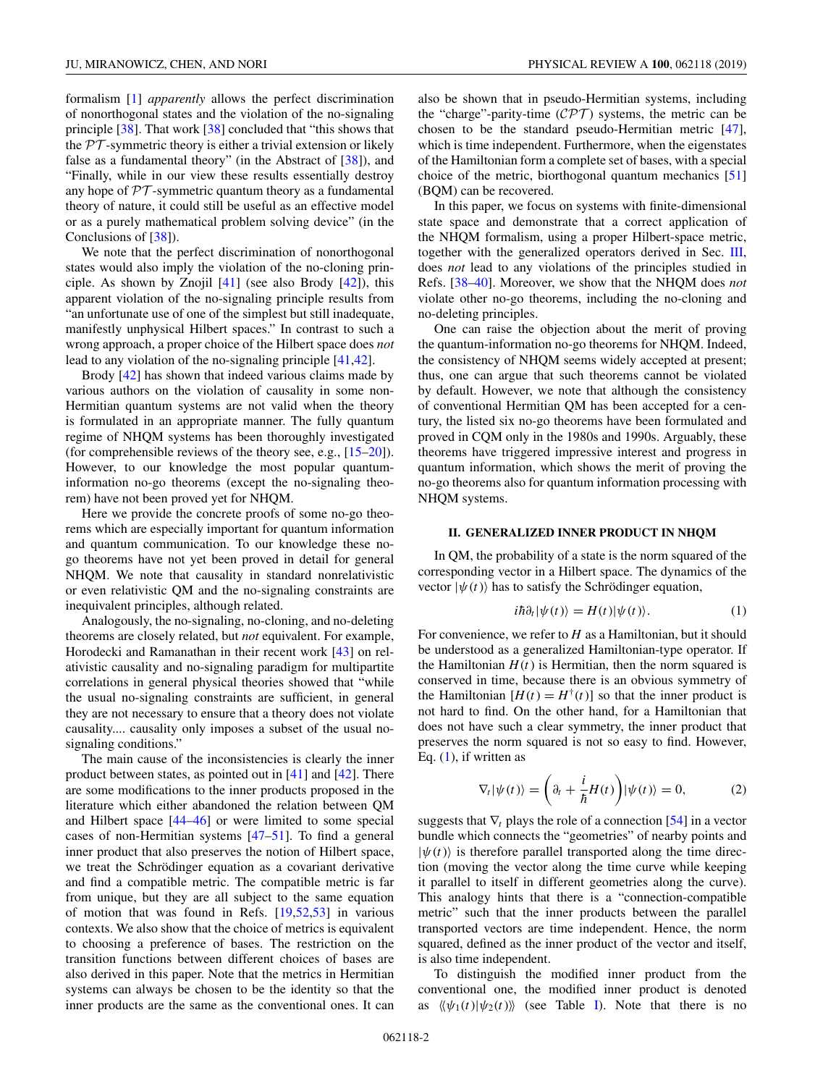<span id="page-1-0"></span>formalism [\[1\]](#page-13-0) *apparently* allows the perfect discrimination of nonorthogonal states and the violation of the no-signaling principle [\[38\]](#page-14-0). That work [\[38\]](#page-14-0) concluded that "this shows that the  $PT$ -symmetric theory is either a trivial extension or likely false as a fundamental theory" (in the Abstract of [\[38\]](#page-14-0)), and "Finally, while in our view these results essentially destroy any hope of  $PT$ -symmetric quantum theory as a fundamental theory of nature, it could still be useful as an effective model or as a purely mathematical problem solving device" (in the Conclusions of [\[38\]](#page-14-0)).

We note that the perfect discrimination of nonorthogonal states would also imply the violation of the no-cloning principle. As shown by Znojil  $[41]$  (see also Brody  $[42]$ ), this apparent violation of the no-signaling principle results from "an unfortunate use of one of the simplest but still inadequate, manifestly unphysical Hilbert spaces." In contrast to such a wrong approach, a proper choice of the Hilbert space does *not* lead to any violation of the no-signaling principle [\[41,42\]](#page-14-0).

Brody [\[42\]](#page-14-0) has shown that indeed various claims made by various authors on the violation of causality in some non-Hermitian quantum systems are not valid when the theory is formulated in an appropriate manner. The fully quantum regime of NHQM systems has been thoroughly investigated (for comprehensible reviews of the theory see, e.g., [\[15–20\]](#page-13-0)). However, to our knowledge the most popular quantuminformation no-go theorems (except the no-signaling theorem) have not been proved yet for NHQM.

Here we provide the concrete proofs of some no-go theorems which are especially important for quantum information and quantum communication. To our knowledge these nogo theorems have not yet been proved in detail for general NHQM. We note that causality in standard nonrelativistic or even relativistic QM and the no-signaling constraints are inequivalent principles, although related.

Analogously, the no-signaling, no-cloning, and no-deleting theorems are closely related, but *not* equivalent. For example, Horodecki and Ramanathan in their recent work [\[43\]](#page-14-0) on relativistic causality and no-signaling paradigm for multipartite correlations in general physical theories showed that "while the usual no-signaling constraints are sufficient, in general they are not necessary to ensure that a theory does not violate causality.... causality only imposes a subset of the usual nosignaling conditions."

The main cause of the inconsistencies is clearly the inner product between states, as pointed out in [\[41\]](#page-14-0) and [\[42\]](#page-14-0). There are some modifications to the inner products proposed in the literature which either abandoned the relation between QM and Hilbert space [\[44–46\]](#page-14-0) or were limited to some special cases of non-Hermitian systems [\[47–51\]](#page-14-0). To find a general inner product that also preserves the notion of Hilbert space, we treat the Schrödinger equation as a covariant derivative and find a compatible metric. The compatible metric is far from unique, but they are all subject to the same equation of motion that was found in Refs. [\[19](#page-13-0)[,52,53\]](#page-14-0) in various contexts. We also show that the choice of metrics is equivalent to choosing a preference of bases. The restriction on the transition functions between different choices of bases are also derived in this paper. Note that the metrics in Hermitian systems can always be chosen to be the identity so that the inner products are the same as the conventional ones. It can also be shown that in pseudo-Hermitian systems, including the "charge"-parity-time  $(\mathcal{CPT})$  systems, the metric can be chosen to be the standard pseudo-Hermitian metric [\[47\]](#page-14-0), which is time independent. Furthermore, when the eigenstates of the Hamiltonian form a complete set of bases, with a special choice of the metric, biorthogonal quantum mechanics [\[51\]](#page-14-0) (BQM) can be recovered.

In this paper, we focus on systems with finite-dimensional state space and demonstrate that a correct application of the NHQM formalism, using a proper Hilbert-space metric, together with the generalized operators derived in Sec. [III,](#page-3-0) does *not* lead to any violations of the principles studied in Refs. [\[38–40\]](#page-14-0). Moreover, we show that the NHQM does *not* violate other no-go theorems, including the no-cloning and no-deleting principles.

One can raise the objection about the merit of proving the quantum-information no-go theorems for NHQM. Indeed, the consistency of NHQM seems widely accepted at present; thus, one can argue that such theorems cannot be violated by default. However, we note that although the consistency of conventional Hermitian QM has been accepted for a century, the listed six no-go theorems have been formulated and proved in CQM only in the 1980s and 1990s. Arguably, these theorems have triggered impressive interest and progress in quantum information, which shows the merit of proving the no-go theorems also for quantum information processing with NHQM systems.

# **II. GENERALIZED INNER PRODUCT IN NHQM**

In QM, the probability of a state is the norm squared of the corresponding vector in a Hilbert space. The dynamics of the vector  $|\psi(t)\rangle$  has to satisfy the Schrödinger equation,

$$
i\hbar \partial_t |\psi(t)\rangle = H(t) |\psi(t)\rangle.
$$
 (1)

For convenience, we refer to *H* as a Hamiltonian, but it should be understood as a generalized Hamiltonian-type operator. If the Hamiltonian  $H(t)$  is Hermitian, then the norm squared is conserved in time, because there is an obvious symmetry of the Hamiltonian  $[H(t) = H^{\dagger}(t)]$  so that the inner product is not hard to find. On the other hand, for a Hamiltonian that does not have such a clear symmetry, the inner product that preserves the norm squared is not so easy to find. However, Eq.  $(1)$ , if written as

$$
\nabla_t |\psi(t)\rangle = \left(\partial_t + \frac{i}{\hbar} H(t)\right) |\psi(t)\rangle = 0, \tag{2}
$$

suggests that  $\nabla_t$  plays the role of a connection [\[54\]](#page-14-0) in a vector bundle which connects the "geometries" of nearby points and  $|\psi(t)\rangle$  is therefore parallel transported along the time direction (moving the vector along the time curve while keeping it parallel to itself in different geometries along the curve). This analogy hints that there is a "connection-compatible metric" such that the inner products between the parallel transported vectors are time independent. Hence, the norm squared, defined as the inner product of the vector and itself, is also time independent.

To distinguish the modified inner product from the conventional one, the modified inner product is denoted as  $\langle \psi_1(t) | \psi_2(t) \rangle$  (see Table [I\)](#page-2-0). Note that there is no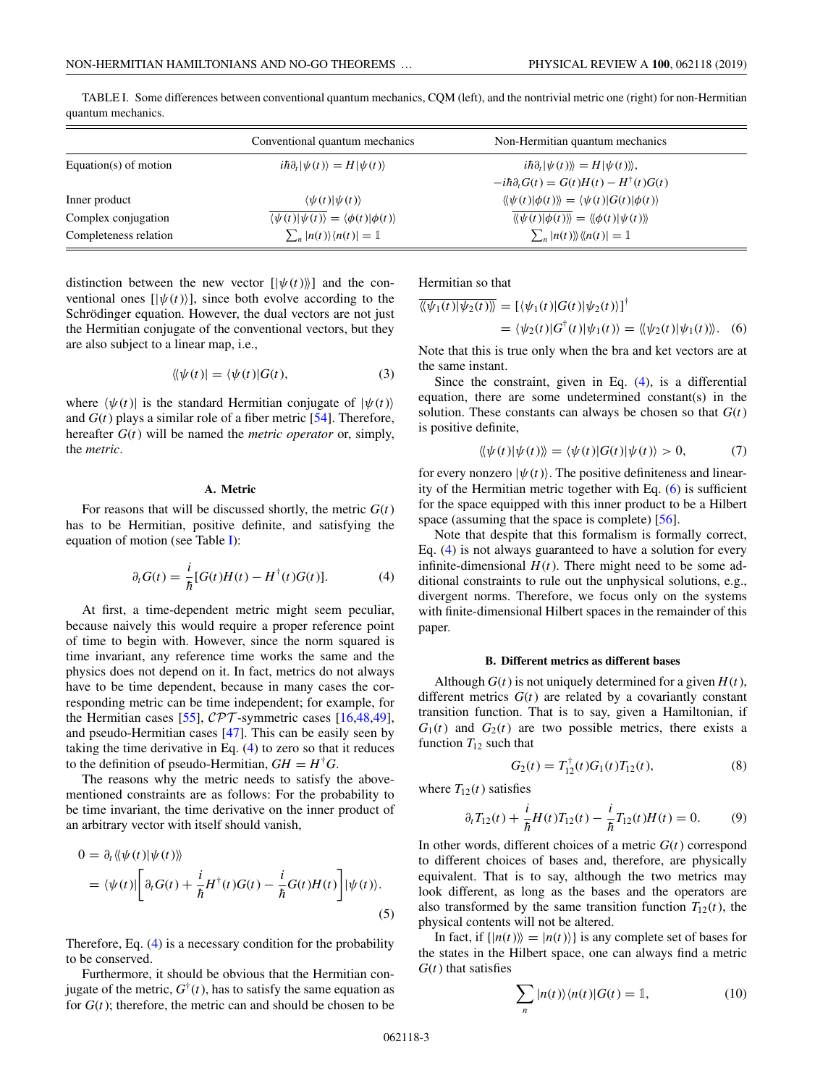|                       | Conventional quantum mechanics                                          | Non-Hermitian quantum mechanics                                                                         |  |
|-----------------------|-------------------------------------------------------------------------|---------------------------------------------------------------------------------------------------------|--|
| Equation(s) of motion | $i\hbar\partial_t \psi(t)\rangle = H \psi(t)\rangle$                    | $i\hbar\partial_t \psi(t)\rangle\!\rangle=H \psi(t)\rangle\!\rangle,$                                   |  |
|                       |                                                                         | $-i\hbar \partial_t G(t) = G(t)H(t) - H^{\dagger}(t)G(t)$                                               |  |
| Inner product         | $\langle \psi(t)   \psi(t) \rangle$                                     | $\langle \langle \psi(t)   \phi(t) \rangle \rangle = \langle \psi(t)   G(t)   \phi(t) \rangle$          |  |
| Complex conjugation   | $\langle \psi(t)   \psi(t) \rangle = \langle \phi(t)   \phi(t) \rangle$ | $\langle \langle \psi(t)   \phi(t) \rangle \rangle = \langle \langle \phi(t)   \psi(t) \rangle \rangle$ |  |
| Completeness relation | $\sum_{n}  n(t)\rangle\langle n(t)  = 1$                                | $\sum_{n}  n(t)\rangle\!\rangle\langle\!\langle n(t) =1$                                                |  |

<span id="page-2-0"></span>TABLE I. Some differences between conventional quantum mechanics, CQM (left), and the nontrivial metric one (right) for non-Hermitian quantum mechanics.

distinction between the new vector  $[|\psi(t)\rangle]$  and the conventional ones  $[|\psi(t)\rangle]$ , since both evolve according to the Schrödinger equation. However, the dual vectors are not just the Hermitian conjugate of the conventional vectors, but they are also subject to a linear map, i.e.,

$$
\langle\!\langle \psi(t)| = \langle \psi(t)|G(t), \rangle\!\rangle
$$
\n(3)

where  $\langle \psi(t) |$  is the standard Hermitian conjugate of  $|\psi(t)\rangle$ and  $G(t)$  plays a similar role of a fiber metric  $[54]$ . Therefore, hereafter *G*(*t*) will be named the *metric operator* or, simply, the *metric*.

# **A. Metric**

For reasons that will be discussed shortly, the metric  $G(t)$ has to be Hermitian, positive definite, and satisfying the equation of motion (see Table I):

$$
\partial_t G(t) = \frac{i}{\hbar} [G(t)H(t) - H^{\dagger}(t)G(t)]. \tag{4}
$$

At first, a time-dependent metric might seem peculiar, because naively this would require a proper reference point of time to begin with. However, since the norm squared is time invariant, any reference time works the same and the physics does not depend on it. In fact, metrics do not always have to be time dependent, because in many cases the corresponding metric can be time independent; for example, for the Hermitian cases [\[55\]](#page-14-0),  $\mathcal{CPT}$ -symmetric cases [\[16,](#page-13-0)[48,49\]](#page-14-0), and pseudo-Hermitian cases [\[47\]](#page-14-0). This can be easily seen by taking the time derivative in Eq. (4) to zero so that it reduces to the definition of pseudo-Hermitian,  $GH = H^{\dagger}G$ .

The reasons why the metric needs to satisfy the abovementioned constraints are as follows: For the probability to be time invariant, the time derivative on the inner product of an arbitrary vector with itself should vanish,

$$
0 = \partial_t \langle \langle \psi(t) | \psi(t) \rangle \rangle
$$
  
=  $\langle \psi(t) | \left[ \partial_t G(t) + \frac{i}{\hbar} H^{\dagger}(t) G(t) - \frac{i}{\hbar} G(t) H(t) \right] | \psi(t) \rangle.$  (5)

Therefore, Eq. (4) is a necessary condition for the probability to be conserved.

Furthermore, it should be obvious that the Hermitian conjugate of the metric,  $G^{\dagger}(t)$ , has to satisfy the same equation as for  $G(t)$ ; therefore, the metric can and should be chosen to be

Hermitian so that

$$
\overline{\langle\!\langle \psi_1(t)|\psi_2(t)\rangle\!\rangle} = [\langle \psi_1(t)|G(t)|\psi_2(t)\rangle]^{\dagger}
$$
  
= 
$$
\langle \psi_2(t)|G^{\dagger}(t)|\psi_1(t)\rangle = \langle \langle \psi_2(t)|\psi_1(t)\rangle \rangle.
$$
 (6)

Note that this is true only when the bra and ket vectors are at the same instant.

Since the constraint, given in Eq. (4), is a differential equation, there are some undetermined constant(s) in the solution. These constants can always be chosen so that *G*(*t*) is positive definite,

$$
\langle \langle \psi(t) | \psi(t) \rangle \rangle = \langle \psi(t) | G(t) | \psi(t) \rangle > 0, \tag{7}
$$

for every nonzero  $|\psi(t)\rangle$ . The positive definiteness and linearity of the Hermitian metric together with Eq. (6) is sufficient for the space equipped with this inner product to be a Hilbert space (assuming that the space is complete) [\[56\]](#page-14-0).

Note that despite that this formalism is formally correct, Eq. (4) is not always guaranteed to have a solution for every infinite-dimensional  $H(t)$ . There might need to be some additional constraints to rule out the unphysical solutions, e.g., divergent norms. Therefore, we focus only on the systems with finite-dimensional Hilbert spaces in the remainder of this paper.

### **B. Different metrics as different bases**

Although  $G(t)$  is not uniquely determined for a given  $H(t)$ , different metrics  $G(t)$  are related by a covariantly constant transition function. That is to say, given a Hamiltonian, if  $G_1(t)$  and  $G_2(t)$  are two possible metrics, there exists a function  $T_{12}$  such that

$$
G_2(t) = T_{12}^{\dagger}(t)G_1(t)T_{12}(t), \tag{8}
$$

where  $T_{12}(t)$  satisfies

$$
\partial_t T_{12}(t) + \frac{i}{\hbar} H(t) T_{12}(t) - \frac{i}{\hbar} T_{12}(t) H(t) = 0.
$$
 (9)

In other words, different choices of a metric  $G(t)$  correspond to different choices of bases and, therefore, are physically equivalent. That is to say, although the two metrics may look different, as long as the bases and the operators are also transformed by the same transition function  $T_{12}(t)$ , the physical contents will not be altered.

In fact, if  $\{|n(t)\rangle = |n(t)\rangle\}$  is any complete set of bases for the states in the Hilbert space, one can always find a metric *G*(*t*) that satisfies

$$
\sum_{n} |n(t)\rangle\langle n(t)|G(t) = 1,
$$
\n(10)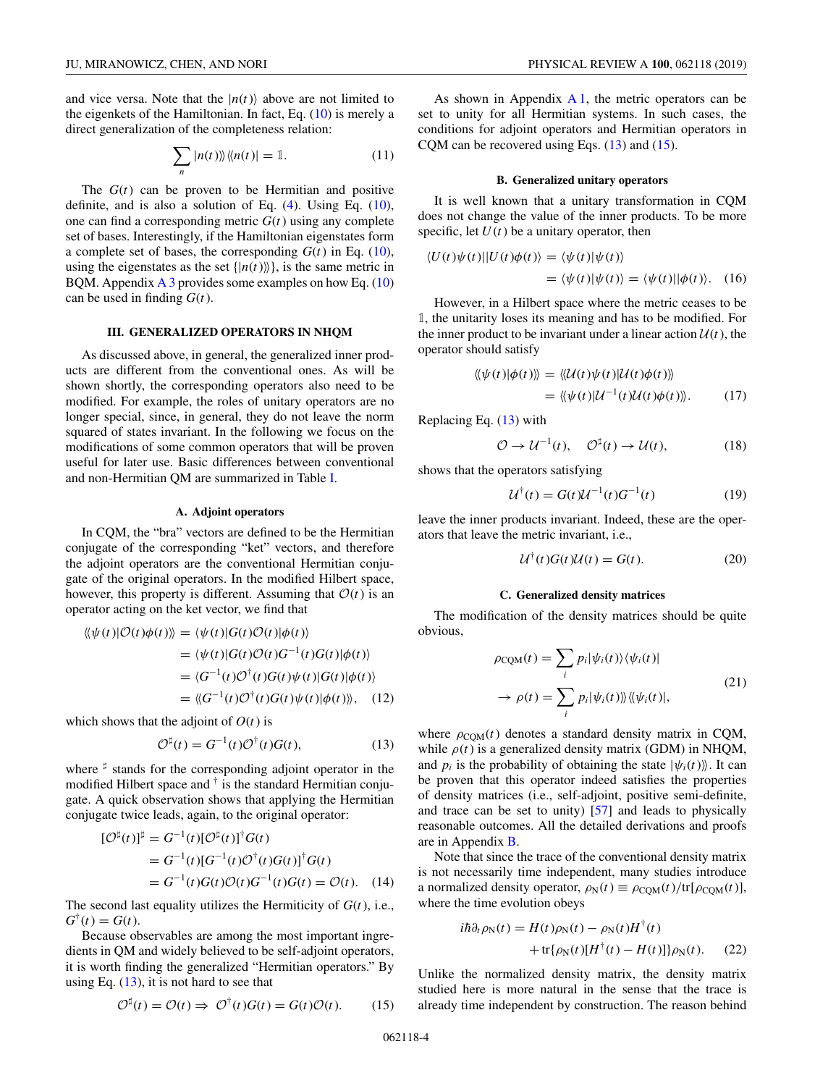<span id="page-3-0"></span>and vice versa. Note that the  $|n(t)\rangle$  above are not limited to the eigenkets of the Hamiltonian. In fact, Eq. [\(10\)](#page-2-0) is merely a direct generalization of the completeness relation:

$$
\sum_{n} |n(t)\rangle\langle\langle n(t)| = 1. \tag{11}
$$

The *G*(*t*) can be proven to be Hermitian and positive definite, and is also a solution of Eq.  $(4)$ . Using Eq.  $(10)$ , one can find a corresponding metric  $G(t)$  using any complete set of bases. Interestingly, if the Hamiltonian eigenstates form a complete set of bases, the corresponding  $G(t)$  in Eq. [\(10\)](#page-2-0), using the eigenstates as the set  $\{|n(t)\rangle\}$ , is the same metric in BQM. Appendix  $\overline{A}$  3 provides some examples on how Eq. [\(10\)](#page-2-0) can be used in finding *G*(*t*).

# **III. GENERALIZED OPERATORS IN NHQM**

As discussed above, in general, the generalized inner products are different from the conventional ones. As will be shown shortly, the corresponding operators also need to be modified. For example, the roles of unitary operators are no longer special, since, in general, they do not leave the norm squared of states invariant. In the following we focus on the modifications of some common operators that will be proven useful for later use. Basic differences between conventional and non-Hermitian QM are summarized in Table [I.](#page-2-0)

### **A. Adjoint operators**

In CQM, the "bra" vectors are defined to be the Hermitian conjugate of the corresponding "ket" vectors, and therefore the adjoint operators are the conventional Hermitian conjugate of the original operators. In the modified Hilbert space, however, this property is different. Assuming that  $\mathcal{O}(t)$  is an operator acting on the ket vector, we find that

$$
\langle \langle \psi(t) | \mathcal{O}(t) \phi(t) \rangle \rangle = \langle \psi(t) | G(t) \mathcal{O}(t) | \phi(t) \rangle
$$
  
\n
$$
= \langle \psi(t) | G(t) \mathcal{O}(t) G^{-1}(t) G(t) | \phi(t) \rangle
$$
  
\n
$$
= \langle G^{-1}(t) \mathcal{O}^{\dagger}(t) G(t) \psi(t) | G(t) | \phi(t) \rangle
$$
  
\n
$$
= \langle G^{-1}(t) \mathcal{O}^{\dagger}(t) G(t) \psi(t) | \phi(t) \rangle \rangle, \quad (12)
$$

which shows that the adjoint of  $O(t)$  is

$$
\mathcal{O}^{\sharp}(t) = G^{-1}(t)\mathcal{O}^{\dagger}(t)G(t),\tag{13}
$$

where  $\sharp$  stands for the corresponding adjoint operator in the modified Hilbert space and  $\dagger$  is the standard Hermitian conjugate. A quick observation shows that applying the Hermitian conjugate twice leads, again, to the original operator:

$$
\begin{aligned} [\mathcal{O}^\sharp(t)]^\sharp &= G^{-1}(t) [\mathcal{O}^\sharp(t)]^\dagger G(t) \\ &= G^{-1}(t) [G^{-1}(t) \mathcal{O}^\dagger(t) G(t)]^\dagger G(t) \\ &= G^{-1}(t) G(t) \mathcal{O}(t) G^{-1}(t) G(t) = \mathcal{O}(t). \end{aligned} \tag{14}
$$

The second last equality utilizes the Hermiticity of *G*(*t*), i.e.,  $G^{\dagger}(t) = G(t)$ .

Because observables are among the most important ingredients in QM and widely believed to be self-adjoint operators, it is worth finding the generalized "Hermitian operators." By using Eq.  $(13)$ , it is not hard to see that

$$
\mathcal{O}^{\sharp}(t) = \mathcal{O}(t) \Rightarrow \mathcal{O}^{\dagger}(t)G(t) = G(t)\mathcal{O}(t). \tag{15}
$$

As shown in Appendix  $A_1$ , the metric operators can be set to unity for all Hermitian systems. In such cases, the conditions for adjoint operators and Hermitian operators in CQM can be recovered using Eqs.  $(13)$  and  $(15)$ .

## **B. Generalized unitary operators**

It is well known that a unitary transformation in CQM does not change the value of the inner products. To be more specific, let  $U(t)$  be a unitary operator, then

$$
\langle U(t)\psi(t)||U(t)\phi(t)\rangle = \langle \psi(t)|\psi(t)\rangle
$$
  
= 
$$
\langle \psi(t)|\psi(t)\rangle = \langle \psi(t)||\phi(t)\rangle.
$$
 (16)

However, in a Hilbert space where the metric ceases to be 1, the unitarity loses its meaning and has to be modified. For the inner product to be invariant under a linear action  $U(t)$ , the operator should satisfy

$$
\langle\!\langle \psi(t)|\phi(t)\rangle\!\rangle = \langle\!\langle \mathcal{U}(t)\psi(t)|\mathcal{U}(t)\phi(t)\rangle\!\rangle
$$
  
= 
$$
\langle\!\langle \psi(t)|\mathcal{U}^{-1}(t)\mathcal{U}(t)\phi(t)\rangle\!\rangle.
$$
 (17)

Replacing Eq. (13) with

$$
\mathcal{O} \to \mathcal{U}^{-1}(t), \quad \mathcal{O}^{\sharp}(t) \to \mathcal{U}(t), \tag{18}
$$

shows that the operators satisfying

$$
U^{\dagger}(t) = G(t)U^{-1}(t)G^{-1}(t)
$$
\n(19)

leave the inner products invariant. Indeed, these are the operators that leave the metric invariant, i.e.,

$$
\mathcal{U}^{\dagger}(t)G(t)\mathcal{U}(t) = G(t). \tag{20}
$$

# **C. Generalized density matrices**

The modification of the density matrices should be quite obvious,

$$
\rho_{\text{CQM}}(t) = \sum_{i} p_i |\psi_i(t)\rangle \langle \psi_i(t)|
$$
  
\n
$$
\rightarrow \rho(t) = \sum_{i} p_i |\psi_i(t)\rangle \langle \psi_i(t)|,
$$
\n(21)

where  $\rho_{COM}(t)$  denotes a standard density matrix in CQM, while  $\rho(t)$  is a generalized density matrix (GDM) in NHQM, and  $p_i$  is the probability of obtaining the state  $|\psi_i(t)\rangle$ . It can be proven that this operator indeed satisfies the properties of density matrices (i.e., self-adjoint, positive semi-definite, and trace can be set to unity) [\[57\]](#page-14-0) and leads to physically reasonable outcomes. All the detailed derivations and proofs are in Appendix [B.](#page-11-0)

Note that since the trace of the conventional density matrix is not necessarily time independent, many studies introduce a normalized density operator,  $\rho_N(t) \equiv \rho_{\text{COM}}(t)/\text{tr}[\rho_{\text{COM}}(t)],$ where the time evolution obeys

$$
i\hbar \partial_t \rho_N(t) = H(t)\rho_N(t) - \rho_N(t)H^{\dagger}(t)
$$
  
+ tr{\rho\_N(t)[H^{\dagger}(t) - H(t)]}\rho\_N(t). (22)

Unlike the normalized density matrix, the density matrix studied here is more natural in the sense that the trace is already time independent by construction. The reason behind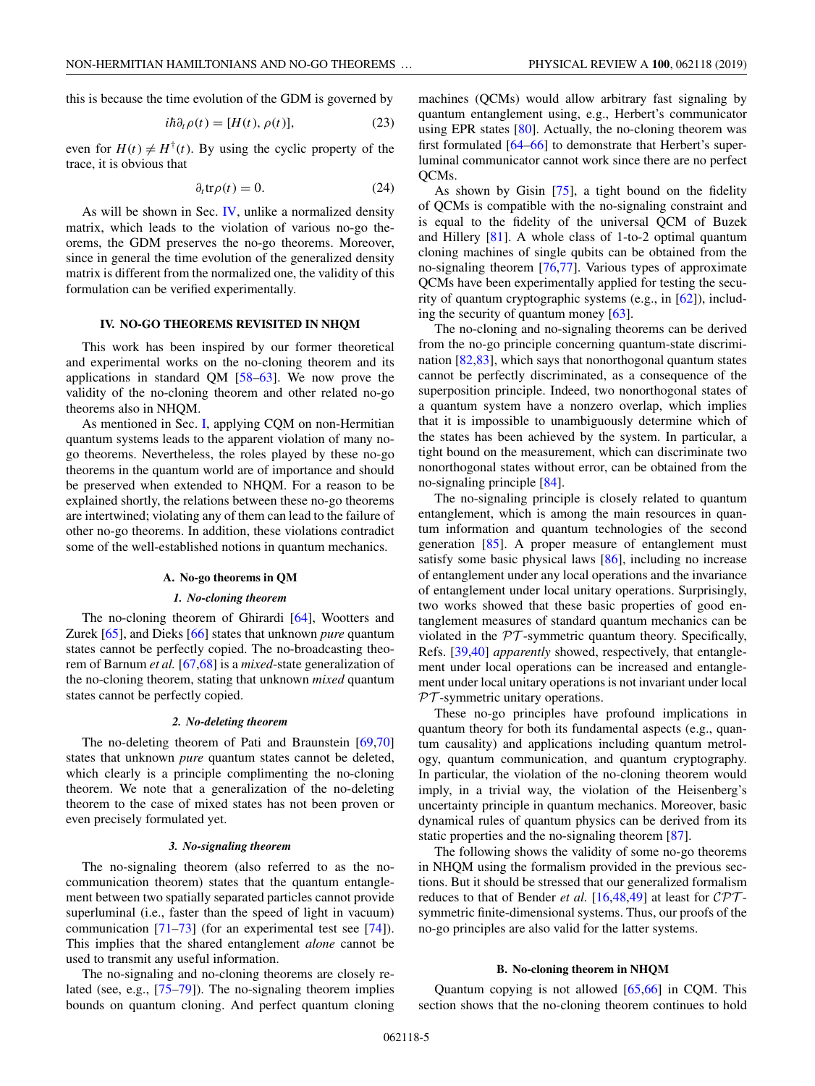this is because the time evolution of the GDM is governed by

$$
i\hbar \partial_t \rho(t) = [H(t), \rho(t)], \qquad (23)
$$

even for  $H(t) \neq H^{\dagger}(t)$ . By using the cyclic property of the trace, it is obvious that

$$
\partial_t \text{tr}\rho(t) = 0. \tag{24}
$$

As will be shown in Sec. IV, unlike a normalized density matrix, which leads to the violation of various no-go theorems, the GDM preserves the no-go theorems. Moreover, since in general the time evolution of the generalized density matrix is different from the normalized one, the validity of this formulation can be verified experimentally.

# **IV. NO-GO THEOREMS REVISITED IN NHQM**

This work has been inspired by our former theoretical and experimental works on the no-cloning theorem and its applications in standard QM [\[58–63\]](#page-14-0). We now prove the validity of the no-cloning theorem and other related no-go theorems also in NHQM.

As mentioned in Sec. [I,](#page-0-0) applying CQM on non-Hermitian quantum systems leads to the apparent violation of many nogo theorems. Nevertheless, the roles played by these no-go theorems in the quantum world are of importance and should be preserved when extended to NHQM. For a reason to be explained shortly, the relations between these no-go theorems are intertwined; violating any of them can lead to the failure of other no-go theorems. In addition, these violations contradict some of the well-established notions in quantum mechanics.

#### **A. No-go theorems in QM**

#### *1. No-cloning theorem*

The no-cloning theorem of Ghirardi [\[64\]](#page-14-0), Wootters and Zurek [\[65\]](#page-14-0), and Dieks [\[66\]](#page-14-0) states that unknown *pure* quantum states cannot be perfectly copied. The no-broadcasting theorem of Barnum *et al.* [\[67,68\]](#page-14-0) is a *mixed*-state generalization of the no-cloning theorem, stating that unknown *mixed* quantum states cannot be perfectly copied.

## *2. No-deleting theorem*

The no-deleting theorem of Pati and Braunstein [\[69,70\]](#page-15-0) states that unknown *pure* quantum states cannot be deleted, which clearly is a principle complimenting the no-cloning theorem. We note that a generalization of the no-deleting theorem to the case of mixed states has not been proven or even precisely formulated yet.

### *3. No-signaling theorem*

The no-signaling theorem (also referred to as the nocommunication theorem) states that the quantum entanglement between two spatially separated particles cannot provide superluminal (i.e., faster than the speed of light in vacuum) communication [\[71–73\]](#page-15-0) (for an experimental test see [\[74\]](#page-15-0)). This implies that the shared entanglement *alone* cannot be used to transmit any useful information.

The no-signaling and no-cloning theorems are closely related (see, e.g., [\[75–79\]](#page-15-0)). The no-signaling theorem implies bounds on quantum cloning. And perfect quantum cloning machines (QCMs) would allow arbitrary fast signaling by quantum entanglement using, e.g., Herbert's communicator using EPR states [\[80\]](#page-15-0). Actually, the no-cloning theorem was first formulated [\[64–66\]](#page-14-0) to demonstrate that Herbert's superluminal communicator cannot work since there are no perfect QCMs.

As shown by Gisin [\[75\]](#page-15-0), a tight bound on the fidelity of QCMs is compatible with the no-signaling constraint and is equal to the fidelity of the universal QCM of Buzek and Hillery [\[81\]](#page-15-0). A whole class of 1-to-2 optimal quantum cloning machines of single qubits can be obtained from the no-signaling theorem [\[76,77\]](#page-15-0). Various types of approximate QCMs have been experimentally applied for testing the security of quantum cryptographic systems (e.g., in [\[62\]](#page-14-0)), including the security of quantum money  $[63]$ .

The no-cloning and no-signaling theorems can be derived from the no-go principle concerning quantum-state discrimination [\[82,83\]](#page-15-0), which says that nonorthogonal quantum states cannot be perfectly discriminated, as a consequence of the superposition principle. Indeed, two nonorthogonal states of a quantum system have a nonzero overlap, which implies that it is impossible to unambiguously determine which of the states has been achieved by the system. In particular, a tight bound on the measurement, which can discriminate two nonorthogonal states without error, can be obtained from the no-signaling principle [\[84\]](#page-15-0).

The no-signaling principle is closely related to quantum entanglement, which is among the main resources in quantum information and quantum technologies of the second generation [\[85\]](#page-15-0). A proper measure of entanglement must satisfy some basic physical laws [\[86\]](#page-15-0), including no increase of entanglement under any local operations and the invariance of entanglement under local unitary operations. Surprisingly, two works showed that these basic properties of good entanglement measures of standard quantum mechanics can be violated in the  $PT$ -symmetric quantum theory. Specifically, Refs. [\[39,40\]](#page-14-0) *apparently* showed, respectively, that entanglement under local operations can be increased and entanglement under local unitary operations is not invariant under local  $PT$ -symmetric unitary operations.

These no-go principles have profound implications in quantum theory for both its fundamental aspects (e.g., quantum causality) and applications including quantum metrology, quantum communication, and quantum cryptography. In particular, the violation of the no-cloning theorem would imply, in a trivial way, the violation of the Heisenberg's uncertainty principle in quantum mechanics. Moreover, basic dynamical rules of quantum physics can be derived from its static properties and the no-signaling theorem [\[87\]](#page-15-0).

The following shows the validity of some no-go theorems in NHQM using the formalism provided in the previous sections. But it should be stressed that our generalized formalism reduces to that of Bender *et al.* [\[16](#page-13-0)[,48,49\]](#page-14-0) at least for  $\mathcal{CPT}$ symmetric finite-dimensional systems. Thus, our proofs of the no-go principles are also valid for the latter systems.

#### **B. No-cloning theorem in NHQM**

Quantum copying is not allowed [\[65,66\]](#page-14-0) in CQM. This section shows that the no-cloning theorem continues to hold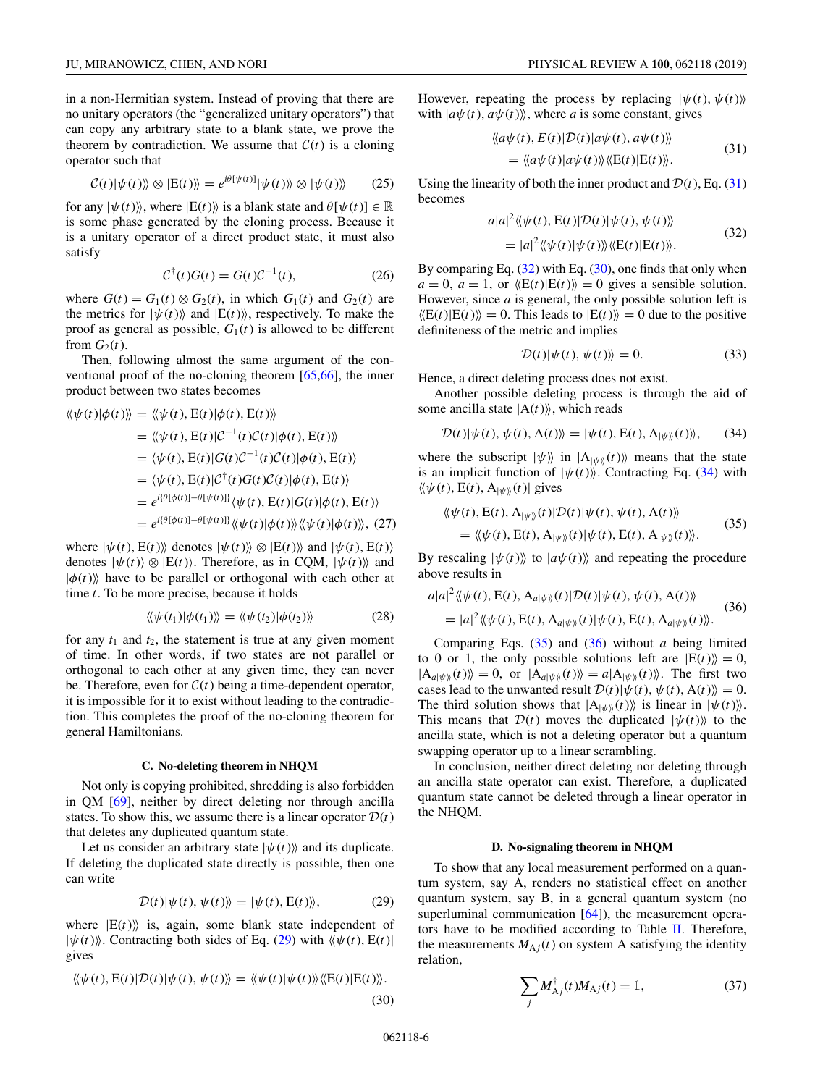in a non-Hermitian system. Instead of proving that there are no unitary operators (the "generalized unitary operators") that can copy any arbitrary state to a blank state, we prove the theorem by contradiction. We assume that  $C(t)$  is a cloning operator such that

$$
\mathcal{C}(t)|\psi(t)\rangle\!\rangle \otimes |E(t)\rangle\!\rangle = e^{i\theta[\psi(t)]}|\psi(t)\rangle\!\rangle \otimes |\psi(t)\rangle\!\rangle \tag{25}
$$

for any  $|\psi(t)\rangle$ , where  $|E(t)\rangle$  is a blank state and  $\theta[\psi(t)] \in \mathbb{R}$ is some phase generated by the cloning process. Because it is a unitary operator of a direct product state, it must also satisfy

$$
\mathcal{C}^{\dagger}(t)G(t) = G(t)\mathcal{C}^{-1}(t),\tag{26}
$$

where  $G(t) = G_1(t) \otimes G_2(t)$ , in which  $G_1(t)$  and  $G_2(t)$  are the metrics for  $|\psi(t)\rangle$  and  $|E(t)\rangle$ , respectively. To make the proof as general as possible,  $G_1(t)$  is allowed to be different from  $G_2(t)$ .

Then, following almost the same argument of the conventional proof of the no-cloning theorem [\[65,66\]](#page-14-0), the inner product between two states becomes

$$
\langle \langle \psi(t) | \phi(t) \rangle \rangle = \langle \langle \psi(t), \mathbf{E}(t) | \phi(t), \mathbf{E}(t) \rangle \rangle
$$
  
\n
$$
= \langle \langle \psi(t), \mathbf{E}(t) | \mathcal{C}^{-1}(t) \mathcal{C}(t) | \phi(t), \mathbf{E}(t) \rangle \rangle
$$
  
\n
$$
= \langle \psi(t), \mathbf{E}(t) | G(t) \mathcal{C}^{-1}(t) \mathcal{C}(t) | \phi(t), \mathbf{E}(t) \rangle
$$
  
\n
$$
= \langle \psi(t), \mathbf{E}(t) | \mathcal{C}^{\dagger}(t) G(t) \mathcal{C}(t) | \phi(t), \mathbf{E}(t) \rangle
$$
  
\n
$$
= e^{i\{\theta[\phi(t)] - \theta[\psi(t)]\}} \langle \psi(t), \mathbf{E}(t) | G(t) | \phi(t), \mathbf{E}(t) \rangle
$$
  
\n
$$
= e^{i\{\theta[\phi(t)] - \theta[\psi(t)]\}} \langle \psi(t) | \phi(t) \rangle \langle \psi(t) | \phi(t) \rangle \rangle, (27)
$$

where  $|\psi(t), E(t)\rangle$  denotes  $|\psi(t)\rangle \otimes |E(t)\rangle$  and  $|\psi(t), E(t)\rangle$ denotes  $|\psi(t)\rangle \otimes |E(t)\rangle$ . Therefore, as in CQM,  $|\psi(t)\rangle$  and  $|\phi(t)\rangle$  have to be parallel or orthogonal with each other at time *t*. To be more precise, because it holds

$$
\langle\!\langle \psi(t_1)|\phi(t_1)\rangle\!\rangle = \langle\!\langle \psi(t_2)|\phi(t_2)\rangle\!\rangle \tag{28}
$$

for any  $t_1$  and  $t_2$ , the statement is true at any given moment of time. In other words, if two states are not parallel or orthogonal to each other at any given time, they can never be. Therefore, even for  $C(t)$  being a time-dependent operator, it is impossible for it to exist without leading to the contradiction. This completes the proof of the no-cloning theorem for general Hamiltonians.

#### **C. No-deleting theorem in NHQM**

Not only is copying prohibited, shredding is also forbidden in QM [\[69\]](#page-15-0), neither by direct deleting nor through ancilla states. To show this, we assume there is a linear operator  $D(t)$ that deletes any duplicated quantum state.

Let us consider an arbitrary state  $|\psi(t)\rangle$  and its duplicate. If deleting the duplicated state directly is possible, then one can write

$$
\mathcal{D}(t)|\psi(t), \psi(t)\rangle = |\psi(t), \mathcal{E}(t)\rangle, \tag{29}
$$

where  $|E(t)\rangle$  is, again, some blank state independent of  $|\psi(t)\rangle$ . Contracting both sides of Eq. (29) with  $\langle \psi(t), E(t) \rangle$ gives

$$
\langle \langle \psi(t), \mathbf{E}(t) | \mathcal{D}(t) | \psi(t), \psi(t) \rangle \rangle = \langle \langle \psi(t) | \psi(t) \rangle \rangle \langle \langle \mathbf{E}(t) | \mathbf{E}(t) \rangle \rangle.
$$

(30)

However, repeating the process by replacing  $|\psi(t), \psi(t)\rangle$ with  $|a\psi(t), a\psi(t)\rangle$ , where *a* is some constant, gives

$$
\langle \langle a\psi(t), E(t)|D(t)|a\psi(t), a\psi(t) \rangle \rangle
$$
  
= 
$$
\langle \langle a\psi(t)|a\psi(t) \rangle \langle \langle E(t)|E(t) \rangle \rangle.
$$
 (31)

Using the linearity of both the inner product and  $\mathcal{D}(t)$ , Eq. (31) becomes

$$
a|a|^2 \langle\!\langle \psi(t), \mathbf{E}(t) | \mathcal{D}(t) | \psi(t), \psi(t) \rangle\!\rangle
$$
  
= 
$$
|a|^2 \langle\!\langle \psi(t) | \psi(t) \rangle\!\rangle \langle\!\langle \mathbf{E}(t) | \mathbf{E}(t) \rangle\!\rangle.
$$
 (32)

By comparing Eq. (32) with Eq. (30), one finds that only when  $a = 0$ ,  $a = 1$ , or  $\langle E(t) | E(t) \rangle = 0$  gives a sensible solution. However, since *a* is general, the only possible solution left is  $\langle E(t)|E(t)\rangle = 0$ . This leads to  $|E(t)\rangle = 0$  due to the positive definiteness of the metric and implies

$$
\mathcal{D}(t)|\psi(t),\psi(t)\rangle\rangle = 0.
$$
\n(33)

Hence, a direct deleting process does not exist.

Another possible deleting process is through the aid of some ancilla state  $|A(t)\rangle$ , which reads

$$
\mathcal{D}(t)|\psi(t),\psi(t),\mathbf{A}(t)\rangle\!\rangle=|\psi(t),\mathbf{E}(t),\mathbf{A}_{|\psi\rangle\rangle}(t)\rangle\!\rangle,\qquad(34)
$$

where the subscript  $|\psi\rangle$  in  $|A_{|\psi\rangle}(t)\rangle$  means that the state is an implicit function of  $|\psi(t)\rangle$ . Contracting Eq. (34) with  $\langle \psi(t), E(t), A_{|\psi \rangle}(t) |$  gives

$$
\langle \langle \psi(t), \mathbf{E}(t), \mathbf{A}_{|\psi \rangle}(t) | \mathcal{D}(t) | \psi(t), \psi(t), \mathbf{A}(t) \rangle \rangle
$$
  
= 
$$
\langle \langle \psi(t), \mathbf{E}(t), \mathbf{A}_{|\psi \rangle}(t) | \psi(t), \mathbf{E}(t), \mathbf{A}_{|\psi \rangle}(t) \rangle \rangle.
$$
 (35)

By rescaling  $|\psi(t)\rangle$  to  $|a\psi(t)\rangle$  and repeating the procedure above results in

$$
a|a|^2 \langle\!\langle \psi(t), \mathbf{E}(t), \mathbf{A}_{a|\psi \rangle\!\rangle}(t) | \mathcal{D}(t) | \psi(t), \psi(t), \mathbf{A}(t) \rangle\!\rangle
$$
  
=  $|a|^2 \langle\!\langle \psi(t), \mathbf{E}(t), \mathbf{A}_{a|\psi \rangle\!\rangle}(t) | \psi(t), \mathbf{E}(t), \mathbf{A}_{a|\psi \rangle\!\rangle}(t) \rangle\!\rangle.$  (36)

Comparing Eqs. (35) and (36) without *a* being limited to 0 or 1, the only possible solutions left are  $|E(t)\rangle = 0$ ,  $|A_{a|\psi\mathbf{m}}(t)\rangle = 0$ , or  $|A_{a|\psi\mathbf{m}}(t)\rangle = a|A_{|\psi\mathbf{m}}(t)\rangle$ . The first two cases lead to the unwanted result  $\mathcal{D}(t)|\psi(t), \psi(t), A(t)\rangle = 0.$ The third solution shows that  $|A_{\psi}\rangle\rangle$  is linear in  $|\psi(t)\rangle$ . This means that  $\mathcal{D}(t)$  moves the duplicated  $|\psi(t)\rangle$  to the ancilla state, which is not a deleting operator but a quantum swapping operator up to a linear scrambling.

In conclusion, neither direct deleting nor deleting through an ancilla state operator can exist. Therefore, a duplicated quantum state cannot be deleted through a linear operator in the NHQM.

## **D. No-signaling theorem in NHQM**

To show that any local measurement performed on a quantum system, say A, renders no statistical effect on another quantum system, say B, in a general quantum system (no superluminal communication [\[64\]](#page-14-0)), the measurement operators have to be modified according to Table [II.](#page-6-0) Therefore, the measurements  $M_{A}$ <sup> $j$ </sup>(*t*) on system A satisfying the identity relation,

$$
\sum_{j} M_{\rm A}^{\dagger}{}_{j}(t) M_{\rm A}{}_{j}(t) = \mathbb{1},\tag{37}
$$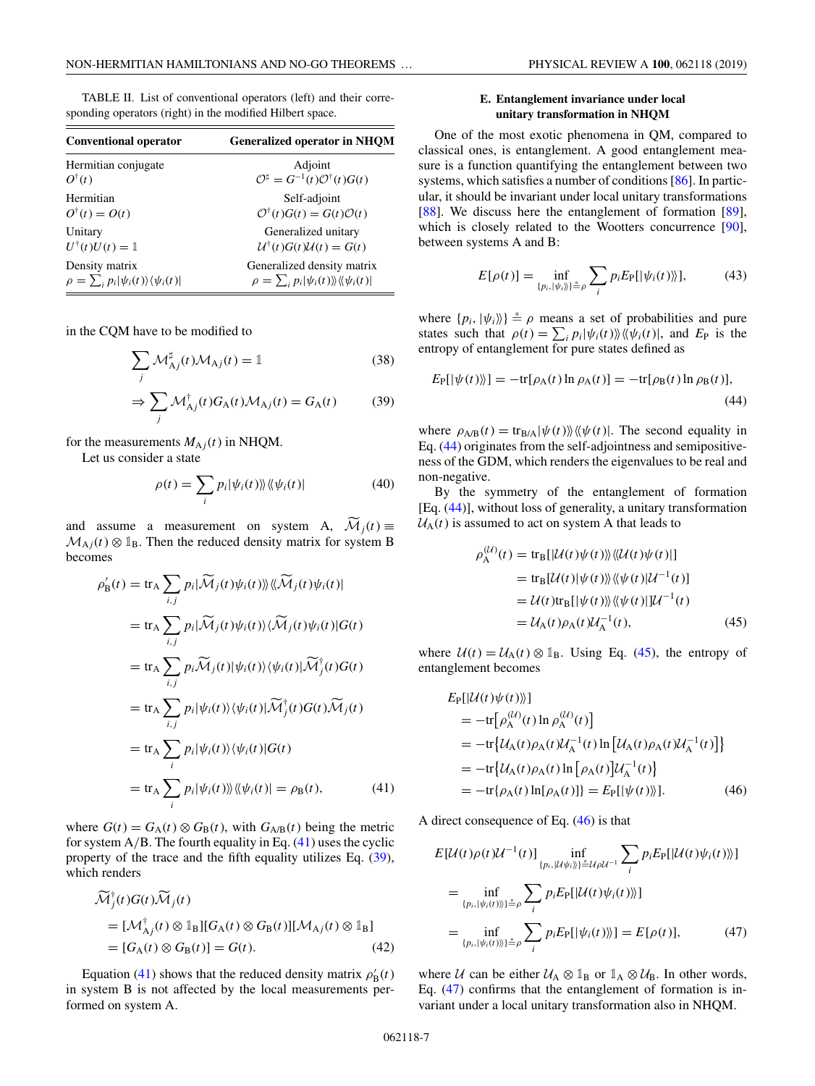<span id="page-6-0"></span>

| <b>Conventional operator</b>                             | <b>Generalized operator in NHQM</b>                        |  |  |  |
|----------------------------------------------------------|------------------------------------------------------------|--|--|--|
| Hermitian conjugate                                      | Adjoint                                                    |  |  |  |
| $O^{\dagger}(t)$                                         | $\mathcal{O}^\sharp = G^{-1}(t)\mathcal{O}^\dagger(t)G(t)$ |  |  |  |
| Hermitian                                                | Self-adjoint                                               |  |  |  |
| $Q^{\dagger}(t) = Q(t)$                                  | $\mathcal{O}^\dagger(t)G(t) = G(t)\mathcal{O}(t)$          |  |  |  |
| Unitary                                                  | Generalized unitary                                        |  |  |  |
| $U^{\dagger}(t)U(t)=\mathbb{1}$                          | $\mathcal{U}^{\dagger}(t)G(t)\mathcal{U}(t) = G(t)$        |  |  |  |
| Density matrix                                           | Generalized density matrix                                 |  |  |  |
| $\rho = \sum_i p_i  \psi_i(t)\rangle \langle \psi_i(t) $ | $\rho = \sum_i p_i  \psi_i(t)\rangle  \langle \psi_i(t) $  |  |  |  |

in the CQM have to be modified to

$$
\sum_{j} \mathcal{M}_{Aj}^{\sharp}(t) \mathcal{M}_{Aj}(t) = \mathbb{1}
$$
\n(38)

$$
\Rightarrow \sum_{j} \mathcal{M}_{Aj}^{\dagger}(t) G_{A}(t) \mathcal{M}_{Aj}(t) = G_{A}(t) \tag{39}
$$

for the measurements  $M_{A}$  *j*(*t*) in NHQM.

Let us consider a state

$$
\rho(t) = \sum_{i} p_i |\psi_i(t)\rangle\langle\langle\psi_i(t)| \tag{40}
$$

and assume a measurement on system A,  $\mathcal{M}_i(t) \equiv$  $\mathcal{M}_{\text{A}j}(t) \otimes \mathbb{1}_{\text{B}}$ . Then the reduced density matrix for system B becomes

$$
\rho'_{\mathbf{B}}(t) = \operatorname{tr}_{\mathbf{A}} \sum_{i,j} p_i |\widetilde{\mathcal{M}}_j(t) \psi_i(t) \rangle \langle \widetilde{\mathcal{M}}_j(t) \psi_i(t) |
$$
\n
$$
= \operatorname{tr}_{\mathbf{A}} \sum_{i,j} p_i |\widetilde{\mathcal{M}}_j(t) \psi_i(t) \rangle \langle \widetilde{\mathcal{M}}_j(t) \psi_i(t) | G(t)
$$
\n
$$
= \operatorname{tr}_{\mathbf{A}} \sum_{i,j} p_i \widetilde{\mathcal{M}}_j(t) |\psi_i(t) \rangle \langle \psi_i(t) | \widetilde{\mathcal{M}}_j^{\dagger}(t) G(t)
$$
\n
$$
= \operatorname{tr}_{\mathbf{A}} \sum_{i,j} p_i |\psi_i(t) \rangle \langle \psi_i(t) | \widetilde{\mathcal{M}}_j^{\dagger}(t) G(t) \widetilde{\mathcal{M}}_j(t)
$$
\n
$$
= \operatorname{tr}_{\mathbf{A}} \sum_{i} p_i |\psi_i(t) \rangle \langle \psi_i(t) | G(t)
$$
\n
$$
= \operatorname{tr}_{\mathbf{A}} \sum_{i} p_i |\psi_i(t) \rangle \langle \psi_i(t) | G(t)
$$
\n
$$
= \operatorname{tr}_{\mathbf{A}} \sum_{i} p_i |\psi_i(t) \rangle \langle \psi_i(t) | = \rho_{\mathbf{B}}(t), \tag{41}
$$

where  $G(t) = G_A(t) \otimes G_B(t)$ , with  $G_{A/B}(t)$  being the metric for system  $A/B$ . The fourth equality in Eq. (41) uses the cyclic property of the trace and the fifth equality utilizes Eq. (39), which renders

$$
\widetilde{\mathcal{M}}_j^{\dagger}(t)G(t)\widetilde{\mathcal{M}}_j(t)
$$
\n
$$
= [\mathcal{M}_{\mathrm{A}j}^{\dagger}(t) \otimes \mathbb{1}_{\mathrm{B}}][G_{\mathrm{A}}(t) \otimes G_{\mathrm{B}}(t)][\mathcal{M}_{\mathrm{A}j}(t) \otimes \mathbb{1}_{\mathrm{B}}]
$$
\n
$$
= [G_{\mathrm{A}}(t) \otimes G_{\mathrm{B}}(t)] = G(t). \tag{42}
$$

Equation (41) shows that the reduced density matrix  $\rho'_{B}(t)$ in system B is not affected by the local measurements performed on system A.

# **E. Entanglement invariance under local unitary transformation in NHQM**

One of the most exotic phenomena in QM, compared to classical ones, is entanglement. A good entanglement measure is a function quantifying the entanglement between two systems, which satisfies a number of conditions [\[86\]](#page-15-0). In particular, it should be invariant under local unitary transformations [\[88\]](#page-15-0). We discuss here the entanglement of formation [\[89\]](#page-15-0), which is closely related to the Wootters concurrence [\[90\]](#page-15-0), between systems A and B:

$$
E[\rho(t)] = \inf_{\{p_i, |\psi_i\rangle\} \triangleq \rho} \sum_i p_i E_{\text{P}}[|\psi_i(t)\rangle], \tag{43}
$$

where  $\{p_i, |\psi_i\rangle\} \triangleq \rho$  means a set of probabilities and pure states such that  $\rho(t) = \sum_i p_i |\psi_i(t)\rangle \langle \psi_i(t)|$ , and  $E_P$  is the entropy of entanglement for pure states defined as

$$
E_{\rm P}[\vert\psi(t)\rangle] = -\text{tr}[\rho_{\rm A}(t)\ln\rho_{\rm A}(t)] = -\text{tr}[\rho_{\rm B}(t)\ln\rho_{\rm B}(t)],\tag{44}
$$

where  $\rho_{A/B}(t) = \text{tr}_{B/A} |\psi(t)\rangle\langle\!\langle \psi(t)|\rangle$ . The second equality in Eq. (44) originates from the self-adjointness and semipositiveness of the GDM, which renders the eigenvalues to be real and non-negative.

By the symmetry of the entanglement of formation [Eq. (44)], without loss of generality, a unitary transformation  $U_A(t)$  is assumed to act on system A that leads to

$$
\rho_{A}^{(\mathcal{U})}(t) = \text{tr}_{B}[\mathcal{U}(t)\psi(t)]\mathcal{U}(t)\psi(t)]
$$
\n
$$
= \text{tr}_{B}[\mathcal{U}(t)|\psi(t)]\mathcal{U}^{(t)}[\mathcal{U}^{-1}(t)]
$$
\n
$$
= \mathcal{U}(t)\text{tr}_{B}[\psi(t)]\mathcal{U}^{(t)}[\mathcal{U}^{-1}(t)]
$$
\n
$$
= \mathcal{U}_{A}(t)\rho_{A}(t)\mathcal{U}_{A}^{-1}(t), \qquad (45)
$$

where  $U(t) = U_A(t) \otimes 1_B$ . Using Eq. (45), the entropy of entanglement becomes

$$
E_{\rm P}[\mathcal{U}(t)\psi(t)]
$$
  
=  $-\text{tr}[\rho_{\rm A}^{(\mathcal{U})}(t)\ln \rho_{\rm A}^{(\mathcal{U})}(t)]$   
=  $-\text{tr}\{\mathcal{U}_{\rm A}(t)\rho_{\rm A}(t)\mathcal{U}_{\rm A}^{-1}(t)\ln [\mathcal{U}_{\rm A}(t)\rho_{\rm A}(t)\mathcal{U}_{\rm A}^{-1}(t)]\}$   
=  $-\text{tr}\{\mathcal{U}_{\rm A}(t)\rho_{\rm A}(t)\ln [\rho_{\rm A}(t)]\mathcal{U}_{\rm A}^{-1}(t)\}$   
=  $-\text{tr}\{\rho_{\rm A}(t)\ln [\rho_{\rm A}(t)]\} = E_{\rm P}[\psi(t)]$ . (46)

A direct consequence of Eq. (46) is that

$$
E[\mathcal{U}(t)\rho(t)\mathcal{U}^{-1}(t)] \inf_{\{p_i, |\mathcal{U}\psi_i\rangle\} \triangleq \mathcal{U}} \sum_{i} p_i E_{\text{P}}[|\mathcal{U}(t)\psi_i(t)\rangle] = \inf_{\{p_i, |\psi_i(t)\rangle\} \triangleq \rho} \sum_{i} p_i E_{\text{P}}[|\mathcal{U}(t)\psi_i(t)\rangle] = \inf_{\{p_i, |\psi_i(t)\rangle\} \triangleq \rho} \sum_{i} p_i E_{\text{P}}[|\psi_i(t)\rangle] = E[\rho(t)], \tag{47}
$$

where U can be either  $U_A \otimes \mathbb{1}_B$  or  $\mathbb{1}_A \otimes \mathbb{1}_B$ . In other words, Eq. (47) confirms that the entanglement of formation is invariant under a local unitary transformation also in NHQM.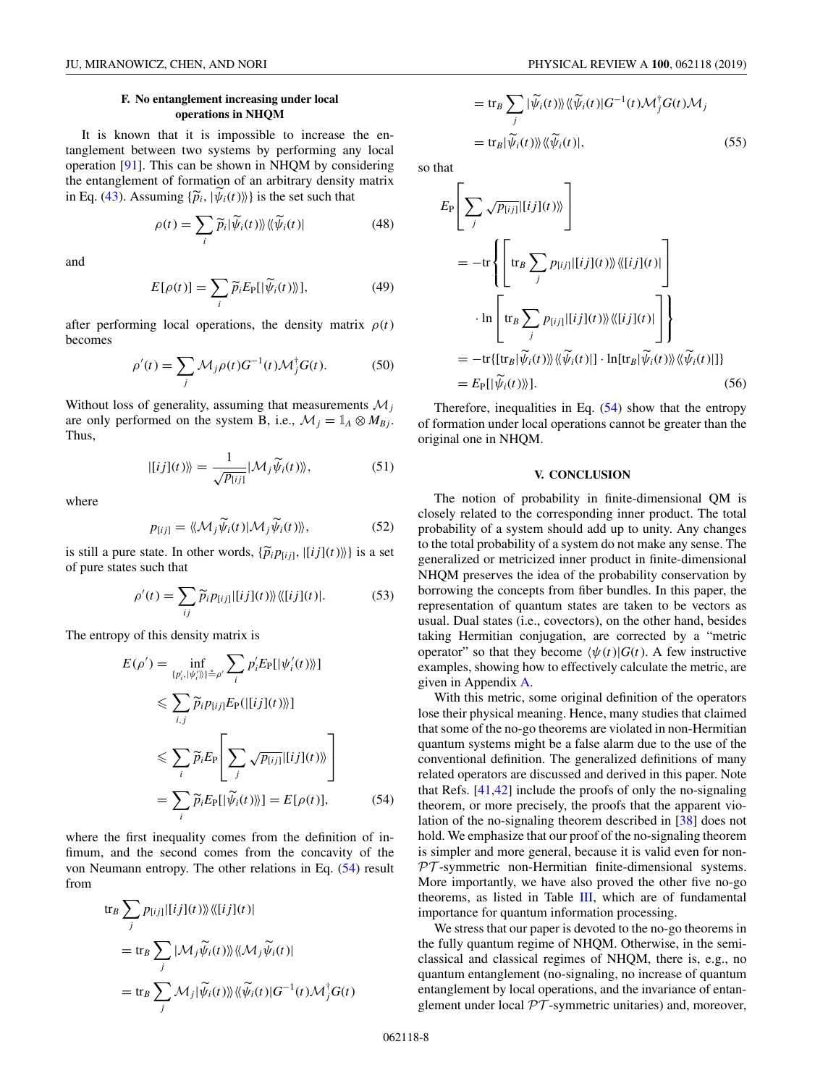# **F. No entanglement increasing under local operations in NHQM**

It is known that it is impossible to increase the entanglement between two systems by performing any local operation [\[91\]](#page-15-0). This can be shown in NHQM by considering the entanglement of formation of an arbitrary density matrix in Eq. [\(43\)](#page-6-0). Assuming  $\{\tilde{p}_i, |\psi_i(t)\rangle\}$  is the set such that

$$
\rho(t) = \sum_{i} \widetilde{p}_{i} |\widetilde{\psi}_{i}(t)\rangle\langle\langle \widetilde{\psi}_{i}(t)| \tag{48}
$$

and

$$
E[\rho(t)] = \sum_{i} \widetilde{p}_{i} E_{\text{P}}[|\widetilde{\psi}_{i}(t)\rangle], \tag{49}
$$

after performing local operations, the density matrix  $\rho(t)$ becomes

$$
\rho'(t) = \sum_{j} \mathcal{M}_{j}\rho(t)G^{-1}(t)\mathcal{M}_{j}^{\dagger}G(t). \tag{50}
$$

Without loss of generality, assuming that measurements M*<sup>j</sup>* are only performed on the system B, i.e.,  $\mathcal{M}_j = \mathbb{1}_A \otimes M_{Bj}$ . Thus,

$$
| [ij](t) \rangle \rangle = \frac{1}{\sqrt{p_{[ij]}}} | \mathcal{M}_j \widetilde{\psi}_i(t) \rangle \rangle, \tag{51}
$$

where

$$
p_{[ij]} = \langle \langle \mathcal{M}_j \widetilde{\psi}_i(t) | \mathcal{M}_j \widetilde{\psi}_i(t) \rangle \rangle, \tag{52}
$$

is still a pure state. In other words,  $\{\tilde{p}_i p_{[ij]}, |[ij](t)\rangle\}$  is a set of pure states such that

$$
\rho'(t) = \sum_{ij} \widetilde{p}_i p_{[ij]} |[ij](t) \rangle \langle [ij](t)|. \tag{53}
$$

The entropy of this density matrix is

$$
E(\rho') = \inf_{\{p'_i, |\psi'_i\rangle\} \triangleq \rho'} \sum_i p'_i E_{\text{P}}[|\psi'_i(t)\rangle] \n\leq \sum_{i,j} \widetilde{p}_i p_{[ij]} E_{\text{P}}([[ij](t))\n\leq \sum_i \widetilde{p}_i E_{\text{P}} \left[ \sum_j \sqrt{p_{[ij]}} |[ij](t)\rangle \right] \n= \sum_i \widetilde{p}_i E_{\text{P}}[|\widetilde{\psi}_i(t)\rangle] = E[\rho(t)], \tag{54}
$$

where the first inequality comes from the definition of infimum, and the second comes from the concavity of the von Neumann entropy. The other relations in Eq. (54) result from

$$
\begin{aligned} \operatorname{tr}_{B} \sum_{j} p_{[ij]} |[ij](t) \rangle \langle \langle [ij](t) | \\ &= \operatorname{tr}_{B} \sum_{j} |\mathcal{M}_{j} \widetilde{\psi}_{i}(t) \rangle \langle \langle \mathcal{M}_{j} \widetilde{\psi}_{i}(t) | \\ &= \operatorname{tr}_{B} \sum_{j} \mathcal{M}_{j} | \widetilde{\psi}_{i}(t) \rangle \langle \langle \widetilde{\psi}_{i}(t) | G^{-1}(t) \mathcal{M}_{j}^{\dagger} G(t) | \end{aligned}
$$

$$
= \operatorname{tr}_{B} \sum_{j} |\widetilde{\psi}_{i}(t)\rangle \langle \langle \widetilde{\psi}_{i}(t)|G^{-1}(t)\mathcal{M}_{j}^{\dagger}G(t)\mathcal{M}_{j}
$$

$$
= \operatorname{tr}_{B} |\widetilde{\psi}_{i}(t)\rangle \langle \langle \widetilde{\psi}_{i}(t)|, \qquad (55)
$$

so that

$$
E_{P}\left[\sum_{j} \sqrt{p_{[ij]}} |[ij](t)\rangle\right]
$$
  
= 
$$
-tr\left\{\left[t_{B} \sum_{j} p_{[ij]} |[ij](t)\rangle\langle\langle [ij](t)|\right]\right\}
$$
  

$$
\cdot \ln \left[t_{B} \sum_{j} p_{[ij]} |[ij](t)\rangle\langle\langle [ij](t)|\right]\right\}
$$
  
= 
$$
-tr\{[tr_{B}|\widetilde{\psi}_{i}(t)\rangle\langle\langle\widetilde{\psi}_{i}(t)|] \cdot \ln[tr_{B}|\widetilde{\psi}_{i}(t)\rangle\langle\langle\widetilde{\psi}_{i}(t)|]\}
$$
  
= 
$$
E_{P}[|\widetilde{\psi}_{i}(t)\rangle\rangle].
$$
 (56)

Therefore, inequalities in Eq. (54) show that the entropy of formation under local operations cannot be greater than the original one in NHQM.

#### **V. CONCLUSION**

The notion of probability in finite-dimensional QM is closely related to the corresponding inner product. The total probability of a system should add up to unity. Any changes to the total probability of a system do not make any sense. The generalized or metricized inner product in finite-dimensional NHQM preserves the idea of the probability conservation by borrowing the concepts from fiber bundles. In this paper, the representation of quantum states are taken to be vectors as usual. Dual states (i.e., covectors), on the other hand, besides taking Hermitian conjugation, are corrected by a "metric operator" so that they become  $\langle \psi(t) | G(t) \rangle$ . A few instructive examples, showing how to effectively calculate the metric, are given in Appendix [A.](#page-8-0)

With this metric, some original definition of the operators lose their physical meaning. Hence, many studies that claimed that some of the no-go theorems are violated in non-Hermitian quantum systems might be a false alarm due to the use of the conventional definition. The generalized definitions of many related operators are discussed and derived in this paper. Note that Refs. [\[41,42\]](#page-14-0) include the proofs of only the no-signaling theorem, or more precisely, the proofs that the apparent violation of the no-signaling theorem described in [\[38\]](#page-14-0) does not hold. We emphasize that our proof of the no-signaling theorem is simpler and more general, because it is valid even for non- $PT$ -symmetric non-Hermitian finite-dimensional systems. More importantly, we have also proved the other five no-go theorems, as listed in Table [III,](#page-8-0) which are of fundamental importance for quantum information processing.

We stress that our paper is devoted to the no-go theorems in the fully quantum regime of NHQM. Otherwise, in the semiclassical and classical regimes of NHQM, there is, e.g., no quantum entanglement (no-signaling, no increase of quantum entanglement by local operations, and the invariance of entanglement under local  $PT$ -symmetric unitaries) and, moreover,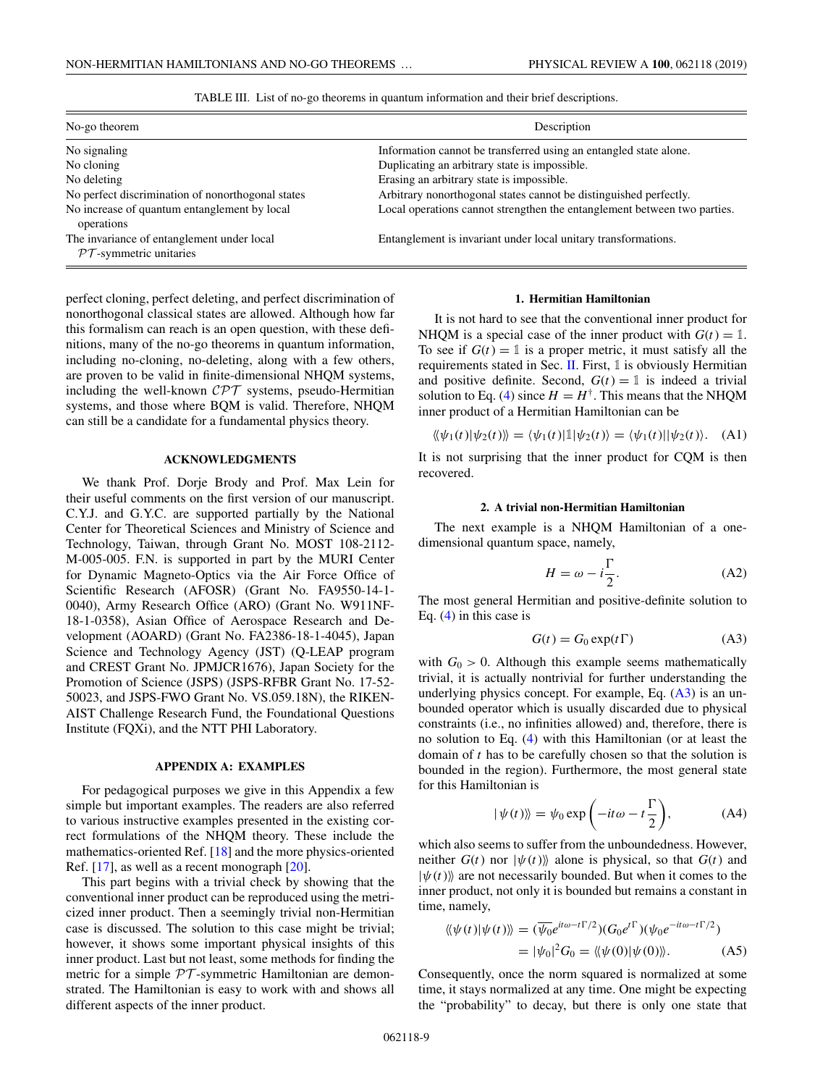|  |  |  | TABLE III. List of no-go theorems in quantum information and their brief descriptions. |
|--|--|--|----------------------------------------------------------------------------------------|
|  |  |  |                                                                                        |

<span id="page-8-0"></span>

| No-go theorem                                                           | Description                                                              |  |  |  |  |
|-------------------------------------------------------------------------|--------------------------------------------------------------------------|--|--|--|--|
| No signaling                                                            | Information cannot be transferred using an entangled state alone.        |  |  |  |  |
| No cloning                                                              | Duplicating an arbitrary state is impossible.                            |  |  |  |  |
| No deleting                                                             | Erasing an arbitrary state is impossible.                                |  |  |  |  |
| No perfect discrimination of nonorthogonal states                       | Arbitrary nonorthogonal states cannot be distinguished perfectly.        |  |  |  |  |
| No increase of quantum entanglement by local<br>operations              | Local operations cannot strengthen the entanglement between two parties. |  |  |  |  |
| The invariance of entanglement under local<br>$PT$ -symmetric unitaries | Entanglement is invariant under local unitary transformations.           |  |  |  |  |

perfect cloning, perfect deleting, and perfect discrimination of nonorthogonal classical states are allowed. Although how far this formalism can reach is an open question, with these definitions, many of the no-go theorems in quantum information, including no-cloning, no-deleting, along with a few others, are proven to be valid in finite-dimensional NHQM systems, including the well-known CPT systems, pseudo-Hermitian systems, and those where BQM is valid. Therefore, NHQM can still be a candidate for a fundamental physics theory.

# **ACKNOWLEDGMENTS**

We thank Prof. Dorje Brody and Prof. Max Lein for their useful comments on the first version of our manuscript. C.Y.J. and G.Y.C. are supported partially by the National Center for Theoretical Sciences and Ministry of Science and Technology, Taiwan, through Grant No. MOST 108-2112- M-005-005. F.N. is supported in part by the MURI Center for Dynamic Magneto-Optics via the Air Force Office of Scientific Research (AFOSR) (Grant No. FA9550-14-1- 0040), Army Research Office (ARO) (Grant No. W911NF-18-1-0358), Asian Office of Aerospace Research and Development (AOARD) (Grant No. FA2386-18-1-4045), Japan Science and Technology Agency (JST) (Q-LEAP program and CREST Grant No. JPMJCR1676), Japan Society for the Promotion of Science (JSPS) (JSPS-RFBR Grant No. 17-52- 50023, and JSPS-FWO Grant No. VS.059.18N), the RIKEN-AIST Challenge Research Fund, the Foundational Questions Institute (FQXi), and the NTT PHI Laboratory.

### **APPENDIX A: EXAMPLES**

For pedagogical purposes we give in this Appendix a few simple but important examples. The readers are also referred to various instructive examples presented in the existing correct formulations of the NHQM theory. These include the mathematics-oriented Ref. [\[18\]](#page-13-0) and the more physics-oriented Ref. [\[17\]](#page-13-0), as well as a recent monograph [\[20\]](#page-13-0).

This part begins with a trivial check by showing that the conventional inner product can be reproduced using the metricized inner product. Then a seemingly trivial non-Hermitian case is discussed. The solution to this case might be trivial; however, it shows some important physical insights of this inner product. Last but not least, some methods for finding the metric for a simple  $PT$ -symmetric Hamiltonian are demonstrated. The Hamiltonian is easy to work with and shows all different aspects of the inner product.

#### **1. Hermitian Hamiltonian**

It is not hard to see that the conventional inner product for NHQM is a special case of the inner product with  $G(t) = 1$ . To see if  $G(t) = 1$  is a proper metric, it must satisfy all the requirements stated in Sec. [II.](#page-1-0) First,  $\mathbb 1$  is obviously Hermitian and positive definite. Second,  $G(t) = 1$  is indeed a trivial solution to Eq. [\(4\)](#page-2-0) since  $H = H^{\dagger}$ . This means that the NHQM inner product of a Hermitian Hamiltonian can be

$$
\langle \langle \psi_1(t) | \psi_2(t) \rangle \rangle = \langle \psi_1(t) | 1 | \psi_2(t) \rangle = \langle \psi_1(t) | \psi_2(t) \rangle. \quad (A1)
$$

It is not surprising that the inner product for CQM is then recovered.

# **2. A trivial non-Hermitian Hamiltonian**

The next example is a NHQM Hamiltonian of a onedimensional quantum space, namely,

$$
H = \omega - i\frac{\Gamma}{2}.
$$
 (A2)

The most general Hermitian and positive-definite solution to Eq. [\(4\)](#page-2-0) in this case is

$$
G(t) = G_0 \exp(t\Gamma) \tag{A3}
$$

with  $G_0 > 0$ . Although this example seems mathematically trivial, it is actually nontrivial for further understanding the underlying physics concept. For example, Eq. (A3) is an unbounded operator which is usually discarded due to physical constraints (i.e., no infinities allowed) and, therefore, there is no solution to Eq. [\(4\)](#page-2-0) with this Hamiltonian (or at least the domain of *t* has to be carefully chosen so that the solution is bounded in the region). Furthermore, the most general state for this Hamiltonian is

$$
|\psi(t)\rangle = \psi_0 \exp\left(-it\omega - t\frac{\Gamma}{2}\right), \tag{A4}
$$

which also seems to suffer from the unboundedness. However, neither  $G(t)$  nor  $|\psi(t)\rangle$  alone is physical, so that  $G(t)$  and  $|\psi(t)\rangle$  are not necessarily bounded. But when it comes to the inner product, not only it is bounded but remains a constant in time, namely,

$$
\langle \langle \psi(t) | \psi(t) \rangle \rangle = (\overline{\psi_0} e^{it\omega - t\Gamma/2}) (G_0 e^{t\Gamma}) (\psi_0 e^{-it\omega - t\Gamma/2})
$$
  
= 
$$
|\psi_0|^2 G_0 = \langle \langle \psi(0) | \psi(0) \rangle \rangle.
$$
 (A5)

Consequently, once the norm squared is normalized at some time, it stays normalized at any time. One might be expecting the "probability" to decay, but there is only one state that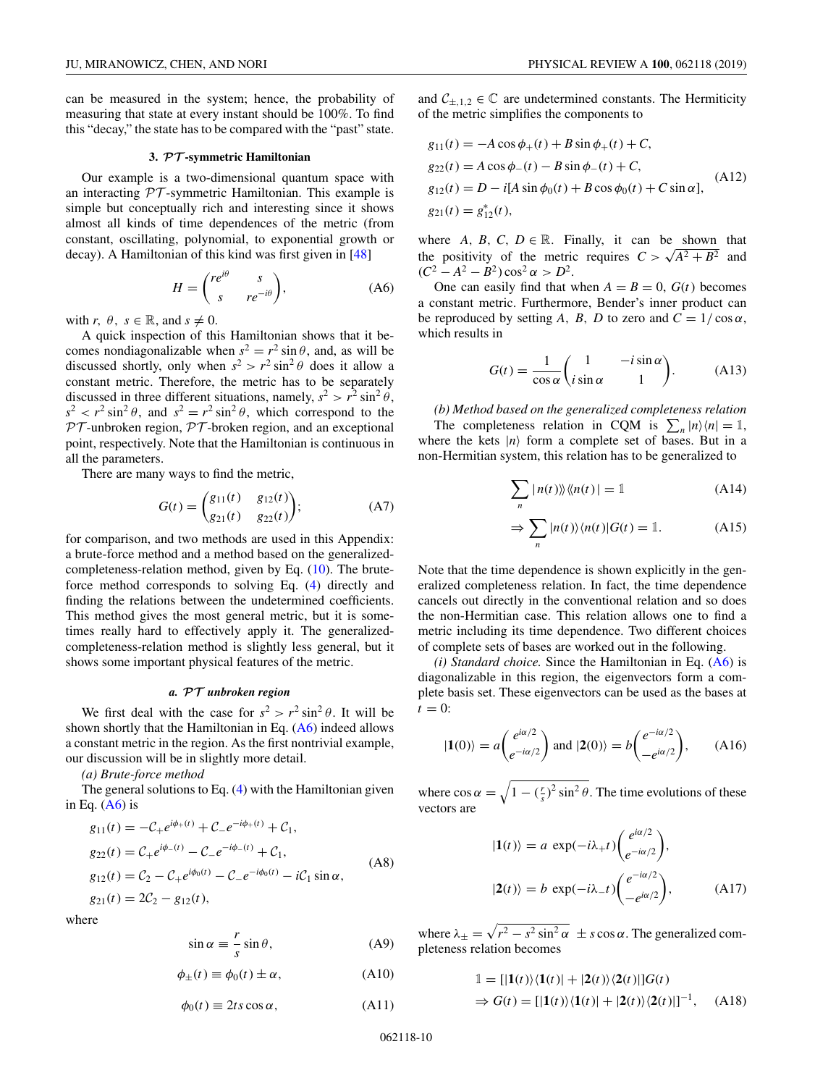<span id="page-9-0"></span>can be measured in the system; hence, the probability of measuring that state at every instant should be 100%. To find this "decay," the state has to be compared with the "past" state.

# **3.** *PT* **-symmetric Hamiltonian**

Our example is a two-dimensional quantum space with an interacting  $PT$ -symmetric Hamiltonian. This example is simple but conceptually rich and interesting since it shows almost all kinds of time dependences of the metric (from constant, oscillating, polynomial, to exponential growth or decay). A Hamiltonian of this kind was first given in [\[48\]](#page-14-0)

$$
H = \begin{pmatrix} re^{i\theta} & s \\ s & re^{-i\theta} \end{pmatrix},
$$
 (A6)

with *r*,  $\theta$ ,  $s \in \mathbb{R}$ , and  $s \neq 0$ .

A quick inspection of this Hamiltonian shows that it becomes nondiagonalizable when  $s^2 = r^2 \sin \theta$ , and, as will be discussed shortly, only when  $s^2 > r^2 \sin^2 \theta$  does it allow a constant metric. Therefore, the metric has to be separately discussed in three different situations, namely,  $s^2 > r^2 \sin^2 \theta$ ,  $s^2 < r^2 \sin^2 \theta$ , and  $s^2 = r^2 \sin^2 \theta$ , which correspond to the  $PT$ -unbroken region,  $PT$ -broken region, and an exceptional point, respectively. Note that the Hamiltonian is continuous in all the parameters.

There are many ways to find the metric,

$$
G(t) = \begin{pmatrix} g_{11}(t) & g_{12}(t) \\ g_{21}(t) & g_{22}(t) \end{pmatrix};
$$
 (A7)

for comparison, and two methods are used in this Appendix: a brute-force method and a method based on the generalizedcompleteness-relation method, given by Eq. [\(10\)](#page-2-0). The bruteforce method corresponds to solving Eq. [\(4\)](#page-2-0) directly and finding the relations between the undetermined coefficients. This method gives the most general metric, but it is sometimes really hard to effectively apply it. The generalizedcompleteness-relation method is slightly less general, but it shows some important physical features of the metric.

### *a. PT unbroken region*

We first deal with the case for  $s^2 > r^2 \sin^2 \theta$ . It will be shown shortly that the Hamiltonian in Eq. (A6) indeed allows a constant metric in the region. As the first nontrivial example, our discussion will be in slightly more detail.

*(a) Brute-force method*

The general solutions to Eq. [\(4\)](#page-2-0) with the Hamiltonian given in Eq.  $(A6)$  is

$$
g_{11}(t) = -C_{+}e^{i\phi_{+}(t)} + C_{-}e^{-i\phi_{+}(t)} + C_{1},
$$
  
\n
$$
g_{22}(t) = C_{+}e^{i\phi_{-}(t)} - C_{-}e^{-i\phi_{-}(t)} + C_{1},
$$
  
\n
$$
g_{12}(t) = C_{2} - C_{+}e^{i\phi_{0}(t)} - C_{-}e^{-i\phi_{0}(t)} - iC_{1}\sin\alpha,
$$
  
\n
$$
g_{21}(t) = 2C_{2} - g_{12}(t),
$$
\n(A8)

where

$$
\sin \alpha \equiv \frac{r}{s} \sin \theta, \tag{A9}
$$

$$
\phi_{\pm}(t) \equiv \phi_0(t) \pm \alpha, \qquad (A10)
$$

$$
\phi_0(t) \equiv 2ts \cos \alpha, \tag{A11}
$$

and  $C_{\pm,1,2} \in \mathbb{C}$  are undetermined constants. The Hermiticity of the metric simplifies the components to

$$
g_{11}(t) = -A\cos\phi_{+}(t) + B\sin\phi_{+}(t) + C,
$$
  
\n
$$
g_{22}(t) = A\cos\phi_{-}(t) - B\sin\phi_{-}(t) + C,
$$
  
\n
$$
g_{12}(t) = D - i[A\sin\phi_{0}(t) + B\cos\phi_{0}(t) + C\sin\alpha],
$$
  
\n
$$
g_{21}(t) = g_{12}^{*}(t),
$$
\n(A12)

where *A*, *B*, *C*, *D*  $\in \mathbb{R}$ . Finally, it can be shown that the positivity of the metric requires  $C > \sqrt{A^2 + B^2}$  and  $(C^2 - A^2 - B^2) \cos^2 \alpha > D^2$ .

One can easily find that when  $A = B = 0$ ,  $G(t)$  becomes a constant metric. Furthermore, Bender's inner product can be reproduced by setting *A*, *B*, *D* to zero and  $C = 1/\cos \alpha$ , which results in

$$
G(t) = \frac{1}{\cos \alpha} \begin{pmatrix} 1 & -i \sin \alpha \\ i \sin \alpha & 1 \end{pmatrix}.
$$
 (A13)

*(b) Method based on the generalized completeness relation* The completeness relation in CQM is  $\sum_{n} |n\rangle\langle n| = 1$ , where the kets  $|n\rangle$  form a complete set of bases. But in a non-Hermitian system, this relation has to be generalized to

$$
\sum_{n} |n(t)\rangle\langle\langle n(t)| = 1 \tag{A14}
$$

$$
\Rightarrow \sum_{n} |n(t)\rangle \langle n(t)| G(t) = 1. \tag{A15}
$$

Note that the time dependence is shown explicitly in the generalized completeness relation. In fact, the time dependence cancels out directly in the conventional relation and so does the non-Hermitian case. This relation allows one to find a metric including its time dependence. Two different choices of complete sets of bases are worked out in the following.

*(i) Standard choice.* Since the Hamiltonian in Eq. (A6) is diagonalizable in this region, the eigenvectors form a complete basis set. These eigenvectors can be used as the bases at  $t = 0$ :

$$
|\mathbf{1}(0)\rangle = a \begin{pmatrix} e^{i\alpha/2} \\ e^{-i\alpha/2} \end{pmatrix} \text{ and } |\mathbf{2}(0)\rangle = b \begin{pmatrix} e^{-i\alpha/2} \\ -e^{i\alpha/2} \end{pmatrix}, \quad \text{(A16)}
$$

where  $\cos \alpha = \sqrt{1 - (\frac{r}{s})^2 \sin^2 \theta}$ . The time evolutions of these vectors are

$$
|\mathbf{1}(t)\rangle = a \exp(-i\lambda_{+}t) \begin{pmatrix} e^{i\alpha/2} \\ e^{-i\alpha/2} \end{pmatrix},
$$

$$
|\mathbf{2}(t)\rangle = b \exp(-i\lambda_{-}t) \begin{pmatrix} e^{-i\alpha/2} \\ -e^{i\alpha/2} \end{pmatrix},
$$
(A17)

where  $\lambda_{\pm} = \sqrt{r^2 - s^2 \sin^2 \alpha} \pm s \cos \alpha$ . The generalized completeness relation becomes

$$
\begin{aligned} \mathbb{1} &= \left[ |1(t)\rangle \langle 1(t)| + |2(t)\rangle \langle 2(t)| \right] G(t) \\ \Rightarrow G(t) &= \left[ |1(t)\rangle \langle 1(t)| + |2(t)\rangle \langle 2(t)| \right]^{-1}, \end{aligned} \tag{A18}
$$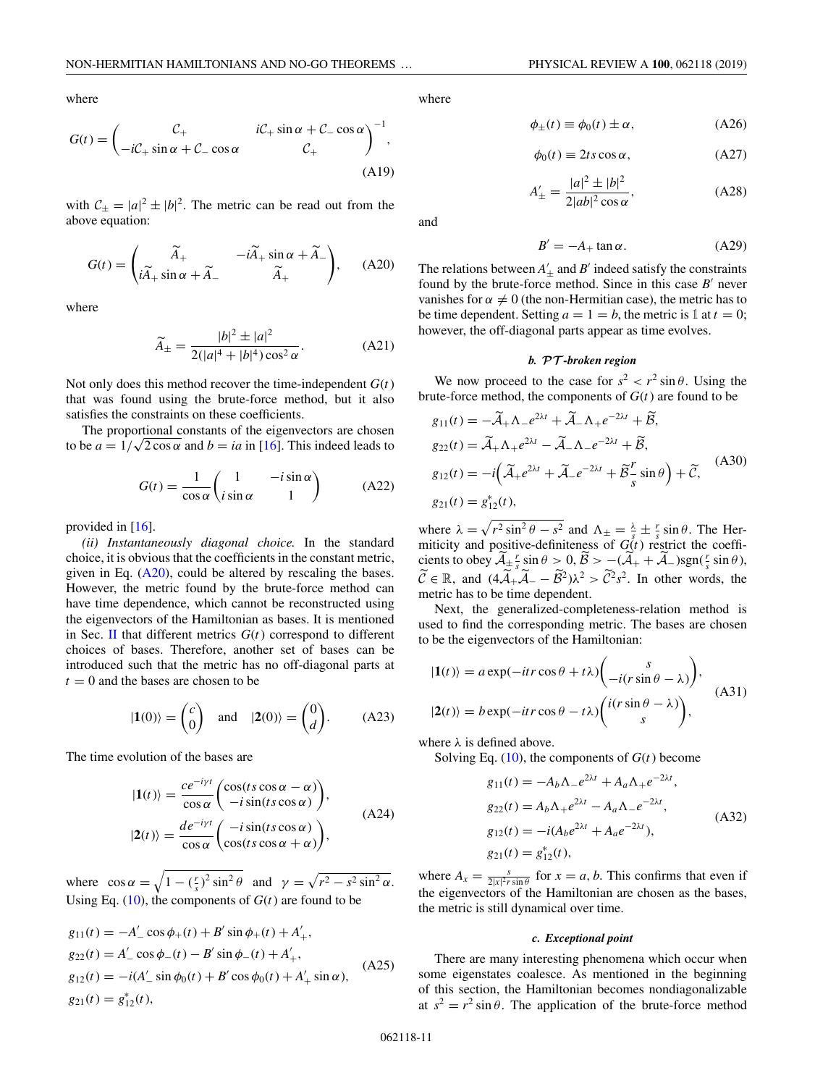where

$$
G(t) = \begin{pmatrix} C_+ & iC_+ \sin \alpha + C_- \cos \alpha \\ -iC_+ \sin \alpha + C_- \cos \alpha & C_+ \end{pmatrix}^{-1},
$$
\n(A19)

with  $C_{\pm} = |a|^2 \pm |b|^2$ . The metric can be read out from the above equation:

$$
G(t) = \begin{pmatrix} \widetilde{A}_{+} & -i\widetilde{A}_{+}\sin\alpha + \widetilde{A}_{-} \\ i\widetilde{A}_{+}\sin\alpha + \widetilde{A}_{-} & \widetilde{A}_{+} \end{pmatrix}, \quad (A20)
$$

where

$$
\widetilde{A}_{\pm} = \frac{|b|^2 \pm |a|^2}{2(|a|^4 + |b|^4)\cos^2 \alpha}.
$$
 (A21)

Not only does this method recover the time-independent *G*(*t*) that was found using the brute-force method, but it also satisfies the constraints on these coefficients.

The proportional constants of the eigenvectors are chosen The proportional constants of the eigenvectors are chosen<br>to be  $a = 1/\sqrt{2} \cos \alpha$  and  $b = ia$  in [\[16\]](#page-13-0). This indeed leads to

$$
G(t) = \frac{1}{\cos \alpha} \begin{pmatrix} 1 & -i \sin \alpha \\ i \sin \alpha & 1 \end{pmatrix}
$$
 (A22)

provided in [\[16\]](#page-13-0).

*(ii) Instantaneously diagonal choice.* In the standard choice, it is obvious that the coefficients in the constant metric, given in Eq.  $(A20)$ , could be altered by rescaling the bases. However, the metric found by the brute-force method can have time dependence, which cannot be reconstructed using the eigenvectors of the Hamiltonian as bases. It is mentioned in Sec. [II](#page-1-0) that different metrics *G*(*t*) correspond to different choices of bases. Therefore, another set of bases can be introduced such that the metric has no off-diagonal parts at  $t = 0$  and the bases are chosen to be

$$
|\mathbf{1}(0)\rangle = \begin{pmatrix} c \\ 0 \end{pmatrix} \text{ and } |\mathbf{2}(0)\rangle = \begin{pmatrix} 0 \\ d \end{pmatrix}.
$$
 (A23)

The time evolution of the bases are

$$
|1(t)\rangle = \frac{ce^{-i\gamma t}}{\cos \alpha} \begin{pmatrix} \cos(ts \cos \alpha - \alpha) \\ -i \sin(ts \cos \alpha) \end{pmatrix},
$$
  

$$
|2(t)\rangle = \frac{de^{-i\gamma t}}{\cos \alpha} \begin{pmatrix} -i \sin(ts \cos \alpha) \\ \cos(ts \cos \alpha + \alpha) \end{pmatrix},
$$
 (A24)

where  $\cos \alpha = \sqrt{1 - (\frac{r}{s})^2 \sin^2 \theta}$  and  $\gamma = \sqrt{r^2 - s^2 \sin^2 \alpha}$ . Using Eq.  $(10)$ , the components of  $G(t)$  are found to be

$$
g_{11}(t) = -A'_{-} \cos \phi_{+}(t) + B' \sin \phi_{+}(t) + A'_{+},
$$
  
\n
$$
g_{22}(t) = A'_{-} \cos \phi_{-}(t) - B' \sin \phi_{-}(t) + A'_{+},
$$
  
\n
$$
g_{12}(t) = -i(A'_{-} \sin \phi_{0}(t) + B' \cos \phi_{0}(t) + A'_{+} \sin \alpha),
$$
  
\n
$$
g_{21}(t) = g_{12}^{*}(t),
$$
\n(A25)

where

$$
\phi_{\pm}(t) \equiv \phi_0(t) \pm \alpha, \qquad (A26)
$$

$$
\phi_0(t) \equiv 2ts \cos \alpha, \qquad (A27)
$$

$$
A'_{\pm} = \frac{|a|^2 \pm |b|^2}{2|ab|^2 \cos \alpha},
$$
 (A28)

and

$$
B' = -A_+ \tan \alpha. \tag{A29}
$$

The relations between  $A'_{\pm}$  and  $B'$  indeed satisfy the constraints found by the brute-force method. Since in this case  $B'$  never vanishes for  $\alpha \neq 0$  (the non-Hermitian case), the metric has to be time dependent. Setting  $a = 1 = b$ , the metric is 1 at  $t = 0$ ; however, the off-diagonal parts appear as time evolves.

# *b. PT -broken region*

We now proceed to the case for  $s^2 < r^2 \sin \theta$ . Using the brute-force method, the components of  $G(t)$  are found to be

$$
g_{11}(t) = -\widetilde{A}_{+}\Lambda_{-}e^{2\lambda t} + \widetilde{A}_{-}\Lambda_{+}e^{-2\lambda t} + \widetilde{B},
$$
  
\n
$$
g_{22}(t) = \widetilde{A}_{+}\Lambda_{+}e^{2\lambda t} - \widetilde{A}_{-}\Lambda_{-}e^{-2\lambda t} + \widetilde{B},
$$
  
\n
$$
g_{12}(t) = -i\left(\widetilde{A}_{+}e^{2\lambda t} + \widetilde{A}_{-}e^{-2\lambda t} + \widetilde{B}_{-}^{\mathcal{F}}\sin\theta\right) + \widetilde{C},
$$
  
\n
$$
g_{21}(t) = g_{12}^{*}(t),
$$
\n(A30)

where  $\lambda = \sqrt{r^2 \sin^2 \theta - s^2}$  and  $\Lambda_{\pm} = \frac{\lambda}{s} \pm \frac{r}{s} \sin \theta$ . The Hermiticity and positive-definiteness of  $G(t)$  restrict the coefficients to obey  $\widetilde{\mathcal{A}}_{\pm} \frac{r}{s} \sin \theta > 0$ ,  $\widetilde{\mathcal{B}} > -( \widetilde{\mathcal{A}}_+ + \widetilde{\mathcal{A}}_-)sgn(\frac{r}{s} \sin \theta)$ ,  $\widetilde{\mathcal{C}} \in \mathbb{R}$ , and  $(4\widetilde{\mathcal{A}}_+\widetilde{\mathcal{A}}_- - \widetilde{\mathcal{B}}^2)\lambda^2 > \widetilde{\mathcal{C}}^2s^2$ . In other words, the metric has to be time dependent.

Next, the generalized-completeness-relation method is used to find the corresponding metric. The bases are chosen to be the eigenvectors of the Hamiltonian:

$$
|\mathbf{1}(t)\rangle = a \exp(-itr \cos \theta + t\lambda) \begin{pmatrix} s \\ -i(r \sin \theta - \lambda) \end{pmatrix},
$$
  

$$
|\mathbf{2}(t)\rangle = b \exp(-itr \cos \theta - t\lambda) \begin{pmatrix} i(r \sin \theta - \lambda) \\ s \end{pmatrix},
$$
 (A31)

where  $\lambda$  is defined above.

Solving Eq.  $(10)$ , the components of  $G(t)$  become

$$
g_{11}(t) = -A_b \Lambda_- e^{2\lambda t} + A_a \Lambda_+ e^{-2\lambda t},
$$
  
\n
$$
g_{22}(t) = A_b \Lambda_+ e^{2\lambda t} - A_a \Lambda_- e^{-2\lambda t},
$$
  
\n
$$
g_{12}(t) = -i(A_b e^{2\lambda t} + A_a e^{-2\lambda t}),
$$
  
\n
$$
g_{21}(t) = g_{12}^*(t),
$$
  
\n(A32)

where  $A_x = \frac{s}{2|x|^2 r \sin \theta}$  for  $x = a, b$ . This confirms that even if the eigenvectors of the Hamiltonian are chosen as the bases, the metric is still dynamical over time.

### *c. Exceptional point*

There are many interesting phenomena which occur when some eigenstates coalesce. As mentioned in the beginning of this section, the Hamiltonian becomes nondiagonalizable at  $s^2 = r^2 \sin \theta$ . The application of the brute-force method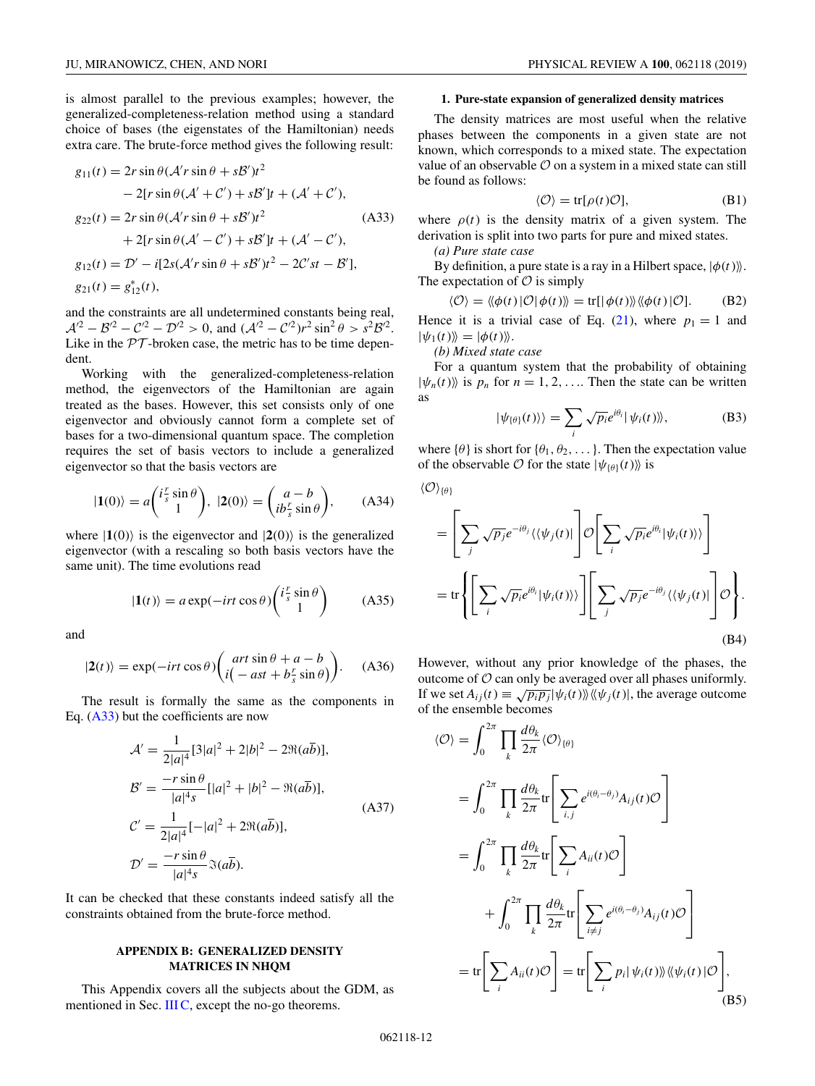<span id="page-11-0"></span>is almost parallel to the previous examples; however, the generalized-completeness-relation method using a standard choice of bases (the eigenstates of the Hamiltonian) needs extra care. The brute-force method gives the following result:

$$
g_{11}(t) = 2r \sin \theta (\mathcal{A}' r \sin \theta + s\mathcal{B}')t^{2}
$$
  
\n
$$
- 2[r \sin \theta (\mathcal{A}' + \mathcal{C}') + s\mathcal{B}']t + (\mathcal{A}' + \mathcal{C}'),
$$
  
\n
$$
g_{22}(t) = 2r \sin \theta (\mathcal{A}' r \sin \theta + s\mathcal{B}')t^{2}
$$
  
\n
$$
+ 2[r \sin \theta (\mathcal{A}' - \mathcal{C}') + s\mathcal{B}']t + (\mathcal{A}' - \mathcal{C}'),
$$
  
\n
$$
g_{12}(t) = \mathcal{D}' - i[2s(\mathcal{A}' r \sin \theta + s\mathcal{B}')t^{2} - 2\mathcal{C}' s t - \mathcal{B}'],
$$
  
\n
$$
g_{21}(t) = g_{12}^{*}(t),
$$

and the constraints are all undetermined constants being real,  $A^{2} - B^{2} - C^{2} - D^{2} > 0$ , and  $(A^{2} - C^{2})r^{2} \sin^{2} \theta > s^{2} B^{2}$ . Like in the  $PT$ -broken case, the metric has to be time dependent.

Working with the generalized-completeness-relation method, the eigenvectors of the Hamiltonian are again treated as the bases. However, this set consists only of one eigenvector and obviously cannot form a complete set of bases for a two-dimensional quantum space. The completion requires the set of basis vectors to include a generalized eigenvector so that the basis vectors are

$$
|\mathbf{1}(0)\rangle = a \begin{pmatrix} i\frac{r}{s}\sin\theta \\ 1 \end{pmatrix}, \ |2(0)\rangle = \begin{pmatrix} a-b \\ ib\frac{r}{s}\sin\theta \end{pmatrix}, \qquad \text{(A34)}
$$

where  $|1(0)\rangle$  is the eigenvector and  $|2(0)\rangle$  is the generalized eigenvector (with a rescaling so both basis vectors have the same unit). The time evolutions read

$$
|\mathbf{1}(t)\rangle = a \exp(-irt \cos \theta) \begin{pmatrix} i\frac{r}{s} \sin \theta \\ 1 \end{pmatrix}
$$
 (A35)

and

$$
|2(t)\rangle = \exp(-irt\cos\theta) \begin{pmatrix} art\sin\theta + a - b\\ i(-ast + b_s^r\sin\theta) \end{pmatrix}.
$$
 (A36)

The result is formally the same as the components in Eq.  $(A33)$  but the coefficients are now

$$
\mathcal{A}' = \frac{1}{2|a|^4} [3|a|^2 + 2|b|^2 - 2\Re(a\overline{b})],
$$
  
\n
$$
\mathcal{B}' = \frac{-r\sin\theta}{|a|^4s} [|a|^2 + |b|^2 - \Re(a\overline{b})],
$$
  
\n
$$
\mathcal{C}' = \frac{1}{2|a|^4} [-|a|^2 + 2\Re(a\overline{b})],
$$
  
\n
$$
\mathcal{D}' = \frac{-r\sin\theta}{|a|^4s} \Im(a\overline{b}).
$$
  
\n(A37)

It can be checked that these constants indeed satisfy all the constraints obtained from the brute-force method.

## **APPENDIX B: GENERALIZED DENSITY MATRICES IN NHQM**

This Appendix covers all the subjects about the GDM, as mentioned in Sec.  $IIIC$ , except the no-go theorems.

### **1. Pure-state expansion of generalized density matrices**

The density matrices are most useful when the relative phases between the components in a given state are not known, which corresponds to a mixed state. The expectation value of an observable  $\mathcal O$  on a system in a mixed state can still be found as follows:

$$
\langle \mathcal{O} \rangle = \text{tr}[\rho(t)\mathcal{O}],\tag{B1}
$$

where  $\rho(t)$  is the density matrix of a given system. The derivation is split into two parts for pure and mixed states.

*(a) Pure state case*

By definition, a pure state is a ray in a Hilbert space,  $|\phi(t)\rangle$ . The expectation of  $\mathcal O$  is simply

$$
\langle \mathcal{O} \rangle = \langle \langle \phi(t) | \mathcal{O} | \phi(t) \rangle \rangle = \text{tr}[ \langle \phi(t) \rangle \rangle \langle \langle \phi(t) | \mathcal{O}]. \tag{B2}
$$

Hence it is a trivial case of Eq.  $(21)$ , where  $p_1 = 1$  and  $|\psi_1(t)\rangle = |\phi(t)\rangle.$ 

*(b) Mixed state case*

For a quantum system that the probability of obtaining  $|\psi_n(t)\rangle$  is  $p_n$  for  $n = 1, 2, \ldots$  Then the state can be written as

$$
|\psi_{\{\theta\}}(t)\rangle\rangle = \sum_{i} \sqrt{p_i} e^{i\theta_i} |\psi_i(t)\rangle\rangle, \tag{B3}
$$

where  $\{\theta\}$  is short for  $\{\theta_1, \theta_2, \dots\}$ . Then the expectation value of the observable  $\mathcal O$  for the state  $|\psi_{\{\theta\}}(t)\rangle$  is

$$
\langle \mathcal{O} \rangle_{\{\theta\}}
$$

$$
= \left[\sum_{j} \sqrt{p_j} e^{-i\theta_j} \langle \langle \psi_j(t)| \right] \mathcal{O}\left[\sum_{i} \sqrt{p_i} e^{i\theta_i} |\psi_i(t)\rangle \rangle \right]
$$

$$
= \text{tr}\left\{\left[\sum_{i} \sqrt{p_i} e^{i\theta_i} |\psi_i(t)\rangle \rangle \right] \left[\sum_{j} \sqrt{p_j} e^{-i\theta_j} \langle \langle \psi_j(t)| \right] \mathcal{O}\right\}.
$$
(B4)

However, without any prior knowledge of the phases, the outcome of  $\mathcal O$  can only be averaged over all phases uniformly. If we set  $A_{ij}(t) \equiv \sqrt{p_i p_j} |\psi_i(t)\rangle \langle\psi_j(t)|$ , the average outcome of the ensemble becomes

$$
\langle \mathcal{O} \rangle = \int_0^{2\pi} \prod_k \frac{d\theta_k}{2\pi} \langle \mathcal{O} \rangle_{\{\theta\}}
$$
  
\n
$$
= \int_0^{2\pi} \prod_k \frac{d\theta_k}{2\pi} \text{tr} \Bigg[ \sum_{i,j} e^{i(\theta_i - \theta_j)} A_{ij}(t) \mathcal{O} \Bigg]
$$
  
\n
$$
= \int_0^{2\pi} \prod_k \frac{d\theta_k}{2\pi} \text{tr} \Bigg[ \sum_i A_{ii}(t) \mathcal{O} \Bigg]
$$
  
\n
$$
+ \int_0^{2\pi} \prod_k \frac{d\theta_k}{2\pi} \text{tr} \Bigg[ \sum_{i \neq j} e^{i(\theta_i - \theta_j)} A_{ij}(t) \mathcal{O} \Bigg]
$$
  
\n
$$
= \text{tr} \Bigg[ \sum_i A_{ii}(t) \mathcal{O} \Bigg] = \text{tr} \Bigg[ \sum_i p_i | \psi_i(t) \rangle \langle \langle \psi_i(t) | \mathcal{O} \Bigg],
$$
  
\n(B5)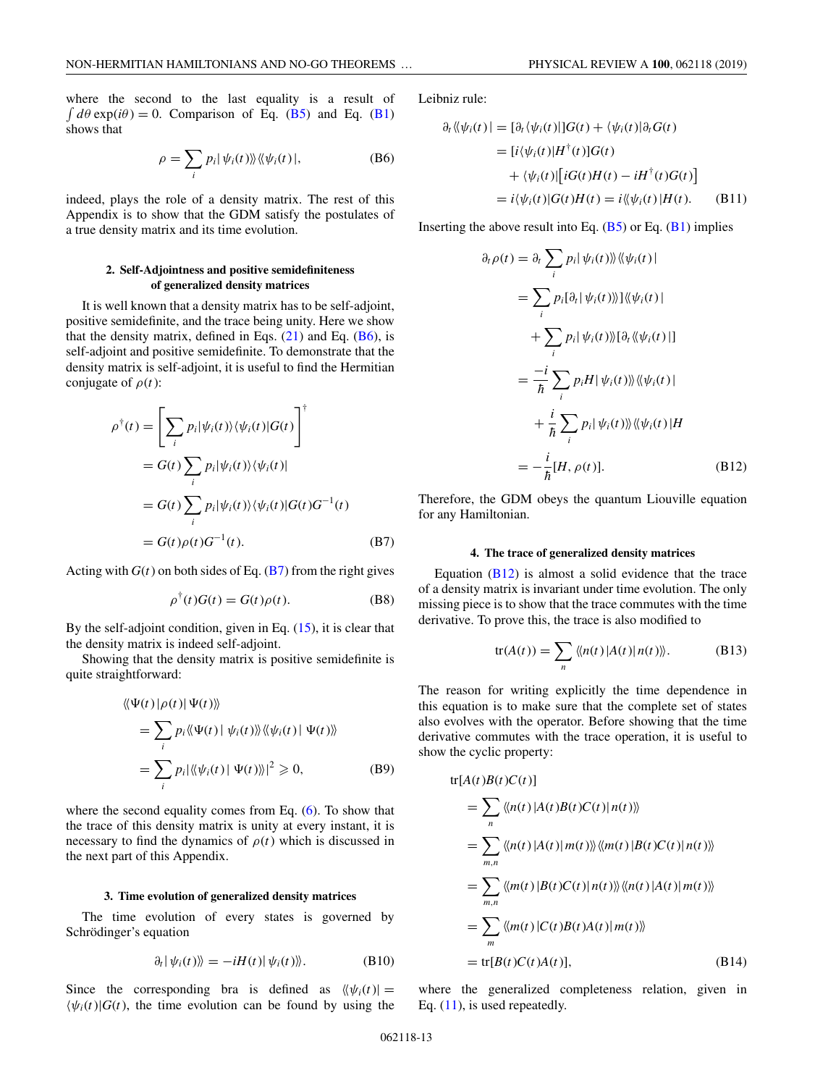<span id="page-12-0"></span>where the second to the last equality is a result of  $\int d\theta \exp(i\theta) = 0$ . Comparison of Eq. [\(B5\)](#page-11-0) and Eq. [\(B1\)](#page-11-0) shows that

$$
\rho = \sum_{i} p_i |\psi_i(t)\rangle\langle\langle\psi_i(t)|, \tag{B6}
$$

indeed, plays the role of a density matrix. The rest of this Appendix is to show that the GDM satisfy the postulates of a true density matrix and its time evolution.

## **2. Self-Adjointness and positive semidefiniteness of generalized density matrices**

It is well known that a density matrix has to be self-adjoint, positive semidefinite, and the trace being unity. Here we show that the density matrix, defined in Eqs.  $(21)$  and Eq.  $(B6)$ , is self-adjoint and positive semidefinite. To demonstrate that the density matrix is self-adjoint, it is useful to find the Hermitian conjugate of  $\rho(t)$ :

$$
\rho^{\dagger}(t) = \left[\sum_{i} p_{i}|\psi_{i}(t)\rangle\langle\psi_{i}(t)|G(t)\right]^{\dagger}
$$
  
\n
$$
= G(t) \sum_{i} p_{i}|\psi_{i}(t)\rangle\langle\psi_{i}(t)|
$$
  
\n
$$
= G(t) \sum_{i} p_{i}|\psi_{i}(t)\rangle\langle\psi_{i}(t)|G(t)G^{-1}(t)
$$
  
\n
$$
= G(t)\rho(t)G^{-1}(t). \tag{B7}
$$

Acting with  $G(t)$  on both sides of Eq. (B7) from the right gives

$$
\rho^{\dagger}(t)G(t) = G(t)\rho(t). \tag{B8}
$$

By the self-adjoint condition, given in Eq. [\(15\)](#page-3-0), it is clear that the density matrix is indeed self-adjoint.

Showing that the density matrix is positive semidefinite is quite straightforward:

$$
\langle \langle \Psi(t) | \rho(t) | \Psi(t) \rangle \rangle
$$
  
= 
$$
\sum_{i} p_i \langle \langle \Psi(t) | \psi_i(t) \rangle \rangle \langle \langle \psi_i(t) | \Psi(t) \rangle \rangle
$$
  
= 
$$
\sum_{i} p_i |\langle \langle \psi_i(t) | \Psi(t) \rangle \rangle|^2 \ge 0,
$$
 (B9)

where the second equality comes from Eq. [\(6\)](#page-2-0). To show that the trace of this density matrix is unity at every instant, it is necessary to find the dynamics of  $\rho(t)$  which is discussed in the next part of this Appendix.

### **3. Time evolution of generalized density matrices**

The time evolution of every states is governed by Schrödinger's equation

$$
\partial_t |\psi_i(t)\rangle = -iH(t)|\psi_i(t)\rangle.
$$
 (B10)

Since the corresponding bra is defined as  $\langle \psi_i(t) | =$  $\langle \psi_i(t) | G(t) \rangle$ , the time evolution can be found by using the Leibniz rule:

$$
\partial_t \langle \psi_i(t) | = [\partial_t \langle \psi_i(t) |] G(t) + \langle \psi_i(t) | \partial_t G(t) \rangle
$$
  
\n
$$
= [i \langle \psi_i(t) | H^{\dagger}(t) ] G(t) \rangle
$$
  
\n
$$
+ \langle \psi_i(t) | [i G(t) H(t) - i H^{\dagger}(t) G(t)] \rangle
$$
  
\n
$$
= i \langle \psi_i(t) | G(t) H(t) = i \langle \langle \psi_i(t) | H(t) . \quad (B11) \rangle
$$

Inserting the above result into Eq.  $(B5)$  or Eq.  $(B1)$  implies

$$
\partial_t \rho(t) = \partial_t \sum_i p_i |\psi_i(t)\rangle \langle \langle \psi_i(t)|
$$
  
\n
$$
= \sum_i p_i [\partial_t | \psi_i(t)\rangle] \langle \langle \psi_i(t)|
$$
  
\n
$$
+ \sum_i p_i |\psi_i(t)\rangle \langle [\partial_t \langle \langle \psi_i(t)|]
$$
  
\n
$$
= \frac{-i}{\hbar} \sum_i p_i H |\psi_i(t)\rangle \langle \langle \psi_i(t)|
$$
  
\n
$$
+ \frac{i}{\hbar} \sum_i p_i |\psi_i(t)\rangle \langle \langle \psi_i(t)|H
$$
  
\n
$$
= -\frac{i}{\hbar} [H, \rho(t)]. \qquad (B12)
$$

Therefore, the GDM obeys the quantum Liouville equation for any Hamiltonian.

### **4. The trace of generalized density matrices**

Equation  $(B12)$  is almost a solid evidence that the trace of a density matrix is invariant under time evolution. The only missing piece is to show that the trace commutes with the time derivative. To prove this, the trace is also modified to

$$
tr(A(t)) = \sum_{n} \langle n(t) | A(t) | n(t) \rangle.
$$
 (B13)

The reason for writing explicitly the time dependence in this equation is to make sure that the complete set of states also evolves with the operator. Before showing that the time derivative commutes with the trace operation, it is useful to show the cyclic property:

$$
\begin{split} \n\text{tr}[A(t)B(t)C(t)] \\ \n&= \sum_{n} \langle \langle n(t) | A(t)B(t)C(t) | n(t) \rangle \rangle \\ \n&= \sum_{m,n} \langle \langle n(t) | A(t) | m(t) \rangle \rangle \langle \langle m(t) | B(t)C(t) | n(t) \rangle \rangle \\ \n&= \sum_{m,n} \langle \langle m(t) | B(t)C(t) | n(t) \rangle \rangle \langle \langle n(t) | A(t) | m(t) \rangle \rangle \\ \n&= \sum_{m} \langle \langle m(t) | C(t)B(t)A(t) | m(t) \rangle \rangle \\ \n&= \text{tr}[B(t)C(t)A(t)], \n\end{split} \tag{B14}
$$

where the generalized completeness relation, given in Eq.  $(11)$ , is used repeatedly.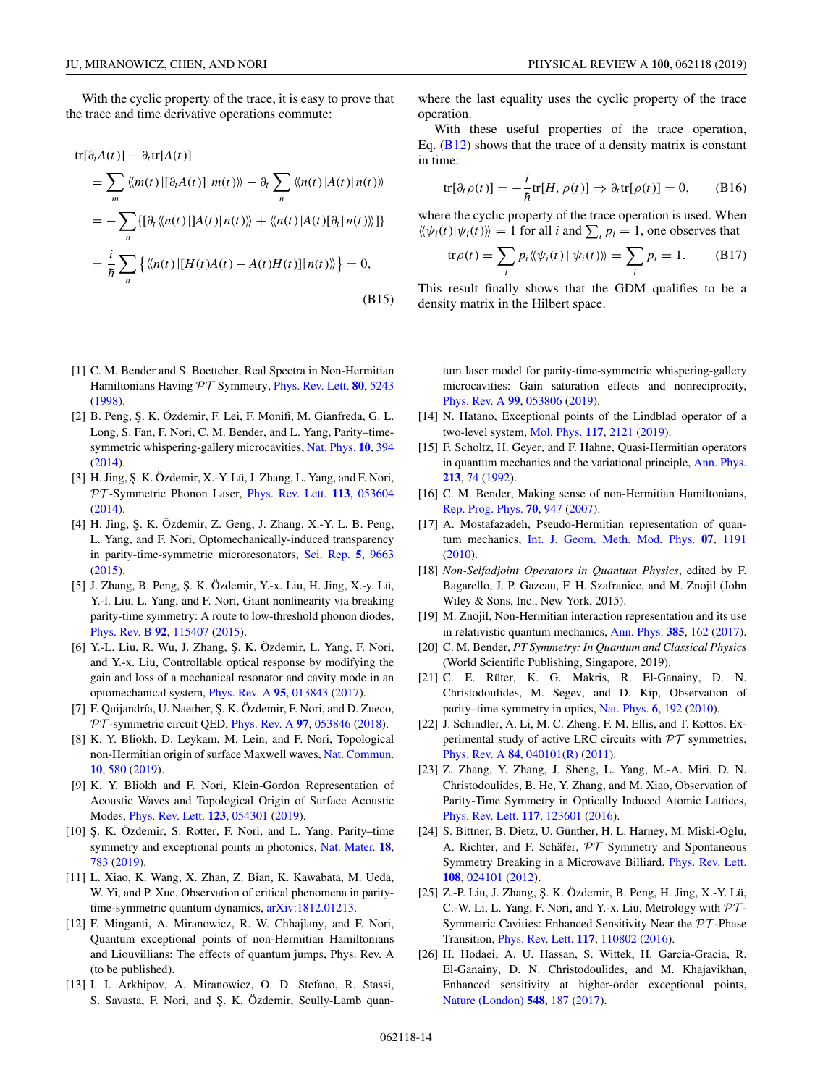<span id="page-13-0"></span>With the cyclic property of the trace, it is easy to prove that the trace and time derivative operations commute:

$$
\text{tr}[\partial_t A(t)] - \partial_t \text{tr}[A(t)]
$$
\n
$$
= \sum_m \langle m(t) | [\partial_t A(t)] | m(t) \rangle - \partial_t \sum_n \langle n(t) | A(t) | n(t) \rangle
$$
\n
$$
= - \sum_n \{ [\partial_t \langle n(t) | A(t) | n(t) \rangle + \langle n(t) | A(t) | \partial_t | n(t) \rangle] \}
$$
\n
$$
= \frac{i}{\hbar} \sum_n \{ \langle n(t) | [H(t)A(t) - A(t)H(t)] | n(t) \rangle \} = 0,
$$
\n(B15)

where the last equality uses the cyclic property of the trace operation.

With these useful properties of the trace operation, Eq.  $(B12)$  shows that the trace of a density matrix is constant in time:

$$
\text{tr}[\partial_t \rho(t)] = -\frac{i}{\hbar} \text{tr}[H, \rho(t)] \Rightarrow \partial_t \text{tr}[\rho(t)] = 0,\qquad (B16)
$$

where the cyclic property of the trace operation is used. When  $\langle \psi_i(t) | \psi_i(t) \rangle = 1$  for all *i* and  $\sum_i p_i = 1$ , one observes that

$$
\text{tr}\rho(t) = \sum_{i} p_i \langle\!\langle \psi_i(t) | \psi_i(t) \rangle\!\rangle = \sum_{i} p_i = 1. \quad (B17)
$$

This result finally shows that the GDM qualifies to be a density matrix in the Hilbert space.

- [1] C. M. Bender and S. Boettcher, Real Spectra in Non-Hermitian Hamiltonians Having PT Symmetry, [Phys. Rev. Lett.](https://doi.org/10.1103/PhysRevLett.80.5243) **[80](https://doi.org/10.1103/PhysRevLett.80.5243)**, [5243](https://doi.org/10.1103/PhysRevLett.80.5243) [\(1998\)](https://doi.org/10.1103/PhysRevLett.80.5243).
- [2] B. Peng, Ş. K. Özdemir, F. Lei, F. Monifi, M. Gianfreda, G. L. Long, S. Fan, F. Nori, C. M. Bender, and L. Yang, Parity–timesymmetric whispering-gallery microcavities, [Nat. Phys.](https://doi.org/10.1038/nphys2927) **[10](https://doi.org/10.1038/nphys2927)**, [394](https://doi.org/10.1038/nphys2927) [\(2014\)](https://doi.org/10.1038/nphys2927).
- [3] H. Jing, S. K. Özdemir, X.-Y. Lü, J. Zhang, L. Yang, and F. Nori, PT -Symmetric Phonon Laser, [Phys. Rev. Lett.](https://doi.org/10.1103/PhysRevLett.113.053604) **[113](https://doi.org/10.1103/PhysRevLett.113.053604)**, [053604](https://doi.org/10.1103/PhysRevLett.113.053604) [\(2014\)](https://doi.org/10.1103/PhysRevLett.113.053604).
- [4] H. Jing, Ş. K. Özdemir, Z. Geng, J. Zhang, X.-Y. L, B. Peng, L. Yang, and F. Nori, Optomechanically-induced transparency in parity-time-symmetric microresonators, [Sci. Rep.](https://doi.org/10.1038/srep09663) **[5](https://doi.org/10.1038/srep09663)**, [9663](https://doi.org/10.1038/srep09663) [\(2015\)](https://doi.org/10.1038/srep09663).
- [5] J. Zhang, B. Peng, Ş. K. Özdemir, Y.-x. Liu, H. Jing, X.-y. Lü, Y.-l. Liu, L. Yang, and F. Nori, Giant nonlinearity via breaking parity-time symmetry: A route to low-threshold phonon diodes, [Phys. Rev. B](https://doi.org/10.1103/PhysRevB.92.115407) **[92](https://doi.org/10.1103/PhysRevB.92.115407)**, [115407](https://doi.org/10.1103/PhysRevB.92.115407) [\(2015\)](https://doi.org/10.1103/PhysRevB.92.115407).
- [6] Y.-L. Liu, R. Wu, J. Zhang, Ş. K. Özdemir, L. Yang, F. Nori, and Y.-x. Liu, Controllable optical response by modifying the gain and loss of a mechanical resonator and cavity mode in an optomechanical system, [Phys. Rev. A](https://doi.org/10.1103/PhysRevA.95.013843) **[95](https://doi.org/10.1103/PhysRevA.95.013843)**, [013843](https://doi.org/10.1103/PhysRevA.95.013843) [\(2017\)](https://doi.org/10.1103/PhysRevA.95.013843).
- [7] F. Quijandría, U. Naether, Ş. K. Özdemir, F. Nori, and D. Zueco, PT -symmetric circuit QED, [Phys. Rev. A](https://doi.org/10.1103/PhysRevA.97.053846) **[97](https://doi.org/10.1103/PhysRevA.97.053846)**, [053846](https://doi.org/10.1103/PhysRevA.97.053846) [\(2018\)](https://doi.org/10.1103/PhysRevA.97.053846).
- [8] K. Y. Bliokh, D. Leykam, M. Lein, and F. Nori, Topological non-Hermitian origin of surface Maxwell waves, [Nat. Commun.](https://doi.org/10.1038/s41467-019-08397-6) **[10](https://doi.org/10.1038/s41467-019-08397-6)**, [580](https://doi.org/10.1038/s41467-019-08397-6) [\(2019\)](https://doi.org/10.1038/s41467-019-08397-6).
- [9] K. Y. Bliokh and F. Nori, Klein-Gordon Representation of Acoustic Waves and Topological Origin of Surface Acoustic Modes, [Phys. Rev. Lett.](https://doi.org/10.1103/PhysRevLett.123.054301) **[123](https://doi.org/10.1103/PhysRevLett.123.054301)**, [054301](https://doi.org/10.1103/PhysRevLett.123.054301) [\(2019\)](https://doi.org/10.1103/PhysRevLett.123.054301).
- [10] Ş. K. Özdemir, S. Rotter, F. Nori, and L. Yang, Parity–time symmetry and exceptional points in photonics, [Nat. Mater.](https://doi.org/10.1038/s41563-019-0304-9) **[18](https://doi.org/10.1038/s41563-019-0304-9)**, [783](https://doi.org/10.1038/s41563-019-0304-9) [\(2019\)](https://doi.org/10.1038/s41563-019-0304-9).
- [11] L. Xiao, K. Wang, X. Zhan, Z. Bian, K. Kawabata, M. Ueda, W. Yi, and P. Xue, Observation of critical phenomena in paritytime-symmetric quantum dynamics, [arXiv:1812.01213.](http://arxiv.org/abs/arXiv:1812.01213)
- [12] F. Minganti, A. Miranowicz, R. W. Chhajlany, and F. Nori, Quantum exceptional points of non-Hermitian Hamiltonians and Liouvillians: The effects of quantum jumps, Phys. Rev. A (to be published).
- [13] I. I. Arkhipov, A. Miranowicz, O. D. Stefano, R. Stassi, S. Savasta, F. Nori, and Ş. K. Özdemir, Scully-Lamb quan-

tum laser model for parity-time-symmetric whispering-gallery microcavities: Gain saturation effects and nonreciprocity, [Phys. Rev. A](https://doi.org/10.1103/PhysRevA.99.053806) **[99](https://doi.org/10.1103/PhysRevA.99.053806)**, [053806](https://doi.org/10.1103/PhysRevA.99.053806) [\(2019\)](https://doi.org/10.1103/PhysRevA.99.053806).

- [14] N. Hatano, Exceptional points of the Lindblad operator of a two-level system, [Mol. Phys.](https://doi.org/10.1080/00268976.2019.1593535) **[117](https://doi.org/10.1080/00268976.2019.1593535)**, [2121](https://doi.org/10.1080/00268976.2019.1593535) [\(2019\)](https://doi.org/10.1080/00268976.2019.1593535).
- [15] F. Scholtz, H. Geyer, and F. Hahne, Quasi-Hermitian operators in quantum mechanics and the variational principle, [Ann. Phys.](https://doi.org/10.1016/0003-4916(92)90284-S) **[213](https://doi.org/10.1016/0003-4916(92)90284-S)**, [74](https://doi.org/10.1016/0003-4916(92)90284-S) [\(1992\)](https://doi.org/10.1016/0003-4916(92)90284-S).
- [16] C. M. Bender, Making sense of non-Hermitian Hamiltonians, [Rep. Prog. Phys.](https://doi.org/10.1088/0034-4885/70/6/R03) **[70](https://doi.org/10.1088/0034-4885/70/6/R03)**, [947](https://doi.org/10.1088/0034-4885/70/6/R03) [\(2007\)](https://doi.org/10.1088/0034-4885/70/6/R03).
- [17] A. Mostafazadeh, Pseudo-Hermitian representation of quantum mechanics, [Int. J. Geom. Meth. Mod. Phys.](https://doi.org/10.1142/S0219887810004816) **[07](https://doi.org/10.1142/S0219887810004816)**, [1191](https://doi.org/10.1142/S0219887810004816) [\(2010\)](https://doi.org/10.1142/S0219887810004816).
- [18] *Non-Selfadjoint Operators in Quantum Physics*, edited by F. Bagarello, J. P. Gazeau, F. H. Szafraniec, and M. Znojil (John Wiley & Sons, Inc., New York, 2015).
- [19] M. Znojil, Non-Hermitian interaction representation and its use in relativistic quantum mechanics, [Ann. Phys.](https://doi.org/10.1016/j.aop.2017.08.009) **[385](https://doi.org/10.1016/j.aop.2017.08.009)**, [162](https://doi.org/10.1016/j.aop.2017.08.009) [\(2017\)](https://doi.org/10.1016/j.aop.2017.08.009).
- [20] C. M. Bender, *PT Symmetry: In Quantum and Classical Physics* (World Scientific Publishing, Singapore, 2019).
- [21] C. E. Rüter, K. G. Makris, R. El-Ganainy, D. N. Christodoulides, M. Segev, and D. Kip, Observation of parity–time symmetry in optics, [Nat. Phys.](https://doi.org/10.1038/nphys1515) **[6](https://doi.org/10.1038/nphys1515)**, [192](https://doi.org/10.1038/nphys1515) [\(2010\)](https://doi.org/10.1038/nphys1515).
- [22] J. Schindler, A. Li, M. C. Zheng, F. M. Ellis, and T. Kottos, Experimental study of active LRC circuits with  $\mathcal{PT}$  symmetries, [Phys. Rev. A](https://doi.org/10.1103/PhysRevA.84.040101) **[84](https://doi.org/10.1103/PhysRevA.84.040101)**, [040101\(R\)](https://doi.org/10.1103/PhysRevA.84.040101) [\(2011\)](https://doi.org/10.1103/PhysRevA.84.040101).
- [23] Z. Zhang, Y. Zhang, J. Sheng, L. Yang, M.-A. Miri, D. N. Christodoulides, B. He, Y. Zhang, and M. Xiao, Observation of Parity-Time Symmetry in Optically Induced Atomic Lattices, [Phys. Rev. Lett.](https://doi.org/10.1103/PhysRevLett.117.123601) **[117](https://doi.org/10.1103/PhysRevLett.117.123601)**, [123601](https://doi.org/10.1103/PhysRevLett.117.123601) [\(2016\)](https://doi.org/10.1103/PhysRevLett.117.123601).
- [24] S. Bittner, B. Dietz, U. Günther, H. L. Harney, M. Miski-Oglu, A. Richter, and F. Schäfer, PT Symmetry and Spontaneous Symmetry Breaking in a Microwave Billiard, [Phys. Rev. Lett.](https://doi.org/10.1103/PhysRevLett.108.024101) **[108](https://doi.org/10.1103/PhysRevLett.108.024101)**, [024101](https://doi.org/10.1103/PhysRevLett.108.024101) [\(2012\)](https://doi.org/10.1103/PhysRevLett.108.024101).
- [25] Z.-P. Liu, J. Zhang, Ş. K. Özdemir, B. Peng, H. Jing, X.-Y. Lü, C.-W. Li, L. Yang, F. Nori, and Y.-x. Liu, Metrology with  $\mathcal{PT}$ -Symmetric Cavities: Enhanced Sensitivity Near the PT -Phase Transition, [Phys. Rev. Lett.](https://doi.org/10.1103/PhysRevLett.117.110802) **[117](https://doi.org/10.1103/PhysRevLett.117.110802)**, [110802](https://doi.org/10.1103/PhysRevLett.117.110802) [\(2016\)](https://doi.org/10.1103/PhysRevLett.117.110802).
- [26] H. Hodaei, A. U. Hassan, S. Wittek, H. Garcia-Gracia, R. El-Ganainy, D. N. Christodoulides, and M. Khajavikhan, Enhanced sensitivity at higher-order exceptional points, [Nature \(London\)](https://doi.org/10.1038/nature23280) **[548](https://doi.org/10.1038/nature23280)**, [187](https://doi.org/10.1038/nature23280) [\(2017\)](https://doi.org/10.1038/nature23280).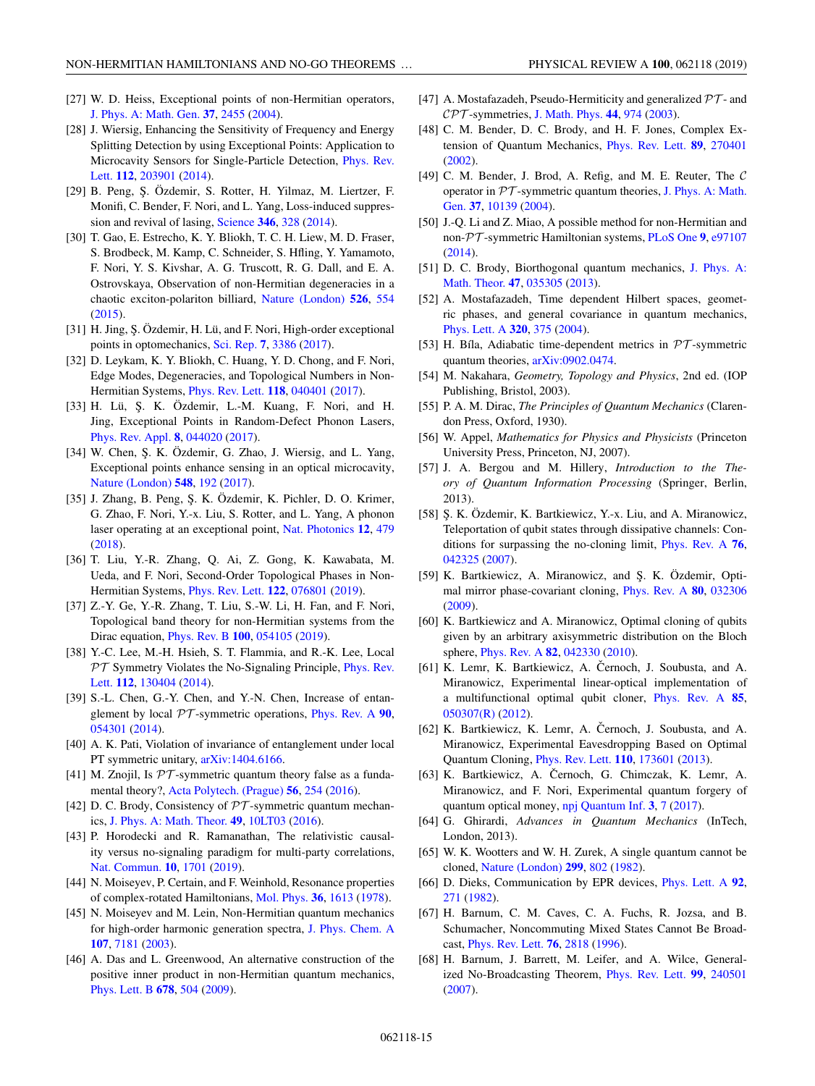- <span id="page-14-0"></span>[27] W. D. Heiss, Exceptional points of non-Hermitian operators, [J. Phys. A: Math. Gen.](https://doi.org/10.1088/0305-4470/37/6/034) **[37](https://doi.org/10.1088/0305-4470/37/6/034)**, [2455](https://doi.org/10.1088/0305-4470/37/6/034) [\(2004\)](https://doi.org/10.1088/0305-4470/37/6/034).
- [28] J. Wiersig, Enhancing the Sensitivity of Frequency and Energy Splitting Detection by using Exceptional Points: Application to [Microcavity Sensors for Single-Particle Detection,](https://doi.org/10.1103/PhysRevLett.112.203901) Phys. Rev. Lett. **[112](https://doi.org/10.1103/PhysRevLett.112.203901)**, [203901](https://doi.org/10.1103/PhysRevLett.112.203901) [\(2014\)](https://doi.org/10.1103/PhysRevLett.112.203901).
- [29] B. Peng, Ş. Özdemir, S. Rotter, H. Yilmaz, M. Liertzer, F. Monifi, C. Bender, F. Nori, and L. Yang, Loss-induced suppression and revival of lasing, [Science](https://doi.org/10.1126/science.1258004) **[346](https://doi.org/10.1126/science.1258004)**, [328](https://doi.org/10.1126/science.1258004) [\(2014\)](https://doi.org/10.1126/science.1258004).
- [30] T. Gao, E. Estrecho, K. Y. Bliokh, T. C. H. Liew, M. D. Fraser, S. Brodbeck, M. Kamp, C. Schneider, S. Hfling, Y. Yamamoto, F. Nori, Y. S. Kivshar, A. G. Truscott, R. G. Dall, and E. A. Ostrovskaya, Observation of non-Hermitian degeneracies in a chaotic exciton-polariton billiard, [Nature \(London\)](https://doi.org/10.1038/nature15522) **[526](https://doi.org/10.1038/nature15522)**, [554](https://doi.org/10.1038/nature15522) [\(2015\)](https://doi.org/10.1038/nature15522).
- [31] H. Jing, Ş. Özdemir, H. Lü, and F. Nori, High-order exceptional points in optomechanics, [Sci. Rep.](https://doi.org/10.1038/s41598-017-03546-7) **[7](https://doi.org/10.1038/s41598-017-03546-7)**, [3386](https://doi.org/10.1038/s41598-017-03546-7) [\(2017\)](https://doi.org/10.1038/s41598-017-03546-7).
- [32] D. Leykam, K. Y. Bliokh, C. Huang, Y. D. Chong, and F. Nori, Edge Modes, Degeneracies, and Topological Numbers in Non-Hermitian Systems, [Phys. Rev. Lett.](https://doi.org/10.1103/PhysRevLett.118.040401) **[118](https://doi.org/10.1103/PhysRevLett.118.040401)**, [040401](https://doi.org/10.1103/PhysRevLett.118.040401) [\(2017\)](https://doi.org/10.1103/PhysRevLett.118.040401).
- [33] H. Lü, Ş. K. Özdemir, L.-M. Kuang, F. Nori, and H. Jing, Exceptional Points in Random-Defect Phonon Lasers, [Phys. Rev. Appl.](https://doi.org/10.1103/PhysRevApplied.8.044020) **[8](https://doi.org/10.1103/PhysRevApplied.8.044020)**, [044020](https://doi.org/10.1103/PhysRevApplied.8.044020) [\(2017\)](https://doi.org/10.1103/PhysRevApplied.8.044020).
- [34] W. Chen, S. K. Özdemir, G. Zhao, J. Wiersig, and L. Yang, Exceptional points enhance sensing in an optical microcavity, [Nature \(London\)](https://doi.org/10.1038/nature23281) **[548](https://doi.org/10.1038/nature23281)**, [192](https://doi.org/10.1038/nature23281) [\(2017\)](https://doi.org/10.1038/nature23281).
- [35] J. Zhang, B. Peng, Ş. K. Özdemir, K. Pichler, D. O. Krimer, G. Zhao, F. Nori, Y.-x. Liu, S. Rotter, and L. Yang, A phonon laser operating at an exceptional point, [Nat. Photonics](https://doi.org/10.1038/s41566-018-0213-5) **[12](https://doi.org/10.1038/s41566-018-0213-5)**, [479](https://doi.org/10.1038/s41566-018-0213-5) [\(2018\)](https://doi.org/10.1038/s41566-018-0213-5).
- [36] T. Liu, Y.-R. Zhang, Q. Ai, Z. Gong, K. Kawabata, M. Ueda, and F. Nori, Second-Order Topological Phases in Non-Hermitian Systems, [Phys. Rev. Lett.](https://doi.org/10.1103/PhysRevLett.122.076801) **[122](https://doi.org/10.1103/PhysRevLett.122.076801)**, [076801](https://doi.org/10.1103/PhysRevLett.122.076801) [\(2019\)](https://doi.org/10.1103/PhysRevLett.122.076801).
- [37] Z.-Y. Ge, Y.-R. Zhang, T. Liu, S.-W. Li, H. Fan, and F. Nori, Topological band theory for non-Hermitian systems from the Dirac equation, [Phys. Rev. B](https://doi.org/10.1103/PhysRevB.100.054105) **[100](https://doi.org/10.1103/PhysRevB.100.054105)**, [054105](https://doi.org/10.1103/PhysRevB.100.054105) [\(2019\)](https://doi.org/10.1103/PhysRevB.100.054105).
- [38] Y.-C. Lee, M.-H. Hsieh, S. T. Flammia, and R.-K. Lee, Local PT [Symmetry Violates the No-Signaling Principle,](https://doi.org/10.1103/PhysRevLett.112.130404) Phys. Rev. Lett. **[112](https://doi.org/10.1103/PhysRevLett.112.130404)**, [130404](https://doi.org/10.1103/PhysRevLett.112.130404) [\(2014\)](https://doi.org/10.1103/PhysRevLett.112.130404).
- [39] S.-L. Chen, G.-Y. Chen, and Y.-N. Chen, Increase of entanglement by local PT -symmetric operations, [Phys. Rev. A](https://doi.org/10.1103/PhysRevA.90.054301) **[90](https://doi.org/10.1103/PhysRevA.90.054301)**, [054301](https://doi.org/10.1103/PhysRevA.90.054301) [\(2014\)](https://doi.org/10.1103/PhysRevA.90.054301).
- [40] A. K. Pati, Violation of invariance of entanglement under local PT symmetric unitary,  $arXiv:1404.6166$ .
- [41] M. Znojil, Is  $PT$ -symmetric quantum theory false as a fundamental theory?, [Acta Polytech. \(Prague\)](https://doi.org/10.14311/AP.2016.56.0254) **[56](https://doi.org/10.14311/AP.2016.56.0254)**, [254](https://doi.org/10.14311/AP.2016.56.0254) [\(2016\)](https://doi.org/10.14311/AP.2016.56.0254).
- [42] D. C. Brody, Consistency of  $PT$ -symmetric quantum mechanics, [J. Phys. A: Math. Theor.](https://doi.org/10.1088/1751-8113/49/10/10LT03) **[49](https://doi.org/10.1088/1751-8113/49/10/10LT03)**, [10LT03](https://doi.org/10.1088/1751-8113/49/10/10LT03) [\(2016\)](https://doi.org/10.1088/1751-8113/49/10/10LT03).
- [43] P. Horodecki and R. Ramanathan, The relativistic causality versus no-signaling paradigm for multi-party correlations, [Nat. Commun.](https://doi.org/10.1038/s41467-019-09505-2) **[10](https://doi.org/10.1038/s41467-019-09505-2)**, [1701](https://doi.org/10.1038/s41467-019-09505-2) [\(2019\)](https://doi.org/10.1038/s41467-019-09505-2).
- [44] N. Moiseyev, P. Certain, and F. Weinhold, Resonance properties of complex-rotated Hamiltonians, [Mol. Phys.](https://doi.org/10.1080/00268977800102631) **[36](https://doi.org/10.1080/00268977800102631)**, [1613](https://doi.org/10.1080/00268977800102631) [\(1978\)](https://doi.org/10.1080/00268977800102631).
- [45] N. Moiseyev and M. Lein, Non-Hermitian quantum mechanics for high-order harmonic generation spectra, [J. Phys. Chem. A](https://doi.org/10.1021/jp034390y) **[107](https://doi.org/10.1021/jp034390y)**, [7181](https://doi.org/10.1021/jp034390y) [\(2003\)](https://doi.org/10.1021/jp034390y).
- [46] A. Das and L. Greenwood, An alternative construction of the positive inner product in non-Hermitian quantum mechanics, [Phys. Lett. B](https://doi.org/10.1016/j.physletb.2009.06.060) **[678](https://doi.org/10.1016/j.physletb.2009.06.060)**, [504](https://doi.org/10.1016/j.physletb.2009.06.060) [\(2009\)](https://doi.org/10.1016/j.physletb.2009.06.060).
- [47] A. Mostafazadeh, Pseudo-Hermiticity and generalized  $\mathcal{PT}$  and CPT -symmetries, [J. Math. Phys.](https://doi.org/10.1063/1.1539304) **[44](https://doi.org/10.1063/1.1539304)**, [974](https://doi.org/10.1063/1.1539304) [\(2003\)](https://doi.org/10.1063/1.1539304).
- [48] C. M. Bender, D. C. Brody, and H. F. Jones, Complex Extension of Quantum Mechanics, [Phys. Rev. Lett.](https://doi.org/10.1103/PhysRevLett.89.270401) **[89](https://doi.org/10.1103/PhysRevLett.89.270401)**, [270401](https://doi.org/10.1103/PhysRevLett.89.270401) [\(2002\)](https://doi.org/10.1103/PhysRevLett.89.270401).
- [49] C. M. Bender, J. Brod, A. Refig, and M. E. Reuter, The  $\mathcal C$ operator in PT [-symmetric quantum theories,](https://doi.org/10.1088/0305-4470/37/43/009) J. Phys. A: Math. Gen. **[37](https://doi.org/10.1088/0305-4470/37/43/009)**, [10139](https://doi.org/10.1088/0305-4470/37/43/009) [\(2004\)](https://doi.org/10.1088/0305-4470/37/43/009).
- [50] J.-Q. Li and Z. Miao, A possible method for non-Hermitian and non-PT -symmetric Hamiltonian systems, [PLoS One](https://doi.org/10.1371/journal.pone.0097107) **[9](https://doi.org/10.1371/journal.pone.0097107)**, [e97107](https://doi.org/10.1371/journal.pone.0097107) [\(2014\)](https://doi.org/10.1371/journal.pone.0097107).
- [51] [D. C. Brody, Biorthogonal quantum mechanics,](https://doi.org/10.1088/1751-8113/47/3/035305) J. Phys. A: Math. Theor. **[47](https://doi.org/10.1088/1751-8113/47/3/035305)**, [035305](https://doi.org/10.1088/1751-8113/47/3/035305) [\(2013\)](https://doi.org/10.1088/1751-8113/47/3/035305).
- [52] A. Mostafazadeh, Time dependent Hilbert spaces, geometric phases, and general covariance in quantum mechanics, [Phys. Lett. A](https://doi.org/10.1016/j.physleta.2003.12.008) **[320](https://doi.org/10.1016/j.physleta.2003.12.008)**, [375](https://doi.org/10.1016/j.physleta.2003.12.008) [\(2004\)](https://doi.org/10.1016/j.physleta.2003.12.008).
- [53] H. Bíla, Adiabatic time-dependent metrics in PT -symmetric quantum theories, [arXiv:0902.0474.](http://arxiv.org/abs/arXiv:0902.0474)
- [54] M. Nakahara, *Geometry, Topology and Physics*, 2nd ed. (IOP Publishing, Bristol, 2003).
- [55] P. A. M. Dirac, *The Principles of Quantum Mechanics* (Clarendon Press, Oxford, 1930).
- [56] W. Appel, *Mathematics for Physics and Physicists* (Princeton University Press, Princeton, NJ, 2007).
- [57] J. A. Bergou and M. Hillery, *Introduction to the Theory of Quantum Information Processing* (Springer, Berlin, 2013).
- [58] S. K. Özdemir, K. Bartkiewicz, Y.-x. Liu, and A. Miranowicz, Teleportation of qubit states through dissipative channels: Conditions for surpassing the no-cloning limit, [Phys. Rev. A](https://doi.org/10.1103/PhysRevA.76.042325) **[76](https://doi.org/10.1103/PhysRevA.76.042325)**, [042325](https://doi.org/10.1103/PhysRevA.76.042325) [\(2007\)](https://doi.org/10.1103/PhysRevA.76.042325).
- [59] K. Bartkiewicz, A. Miranowicz, and S. K. Özdemir, Optimal mirror phase-covariant cloning, [Phys. Rev. A](https://doi.org/10.1103/PhysRevA.80.032306) **[80](https://doi.org/10.1103/PhysRevA.80.032306)**, [032306](https://doi.org/10.1103/PhysRevA.80.032306) [\(2009\)](https://doi.org/10.1103/PhysRevA.80.032306).
- [60] K. Bartkiewicz and A. Miranowicz, Optimal cloning of qubits given by an arbitrary axisymmetric distribution on the Bloch sphere, [Phys. Rev. A](https://doi.org/10.1103/PhysRevA.82.042330) **[82](https://doi.org/10.1103/PhysRevA.82.042330)**, [042330](https://doi.org/10.1103/PhysRevA.82.042330) [\(2010\)](https://doi.org/10.1103/PhysRevA.82.042330).
- [61] K. Lemr, K. Bartkiewicz, A. Černoch, J. Soubusta, and A. Miranowicz, Experimental linear-optical implementation of a multifunctional optimal qubit cloner, [Phys. Rev. A](https://doi.org/10.1103/PhysRevA.85.050307) **[85](https://doi.org/10.1103/PhysRevA.85.050307)**, [050307\(R\)](https://doi.org/10.1103/PhysRevA.85.050307) [\(2012\)](https://doi.org/10.1103/PhysRevA.85.050307).
- [62] K. Bartkiewicz, K. Lemr, A. Černoch, J. Soubusta, and A. Miranowicz, Experimental Eavesdropping Based on Optimal Quantum Cloning, [Phys. Rev. Lett.](https://doi.org/10.1103/PhysRevLett.110.173601) **[110](https://doi.org/10.1103/PhysRevLett.110.173601)**, [173601](https://doi.org/10.1103/PhysRevLett.110.173601) [\(2013\)](https://doi.org/10.1103/PhysRevLett.110.173601).
- [63] K. Bartkiewicz, A. Černoch, G. Chimczak, K. Lemr, A. Miranowicz, and F. Nori, Experimental quantum forgery of quantum optical money, [npj Quantum Inf.](https://doi.org/10.1038/s41534-017-0010-x) **[3](https://doi.org/10.1038/s41534-017-0010-x)**, [7](https://doi.org/10.1038/s41534-017-0010-x) [\(2017\)](https://doi.org/10.1038/s41534-017-0010-x).
- [64] G. Ghirardi, *Advances in Quantum Mechanics* (InTech, London, 2013).
- [65] W. K. Wootters and W. H. Zurek, A single quantum cannot be cloned, [Nature \(London\)](https://doi.org/10.1038/299802a0) **[299](https://doi.org/10.1038/299802a0)**, [802](https://doi.org/10.1038/299802a0) [\(1982\)](https://doi.org/10.1038/299802a0).
- [66] D. Dieks, Communication by EPR devices, [Phys. Lett. A](https://doi.org/10.1016/0375-9601(82)90084-6) **[92](https://doi.org/10.1016/0375-9601(82)90084-6)**, [271](https://doi.org/10.1016/0375-9601(82)90084-6) [\(1982\)](https://doi.org/10.1016/0375-9601(82)90084-6).
- [67] H. Barnum, C. M. Caves, C. A. Fuchs, R. Jozsa, and B. Schumacher, Noncommuting Mixed States Cannot Be Broadcast, [Phys. Rev. Lett.](https://doi.org/10.1103/PhysRevLett.76.2818) **[76](https://doi.org/10.1103/PhysRevLett.76.2818)**, [2818](https://doi.org/10.1103/PhysRevLett.76.2818) [\(1996\)](https://doi.org/10.1103/PhysRevLett.76.2818).
- [68] H. Barnum, J. Barrett, M. Leifer, and A. Wilce, Generalized No-Broadcasting Theorem, [Phys. Rev. Lett.](https://doi.org/10.1103/PhysRevLett.99.240501) **[99](https://doi.org/10.1103/PhysRevLett.99.240501)**, [240501](https://doi.org/10.1103/PhysRevLett.99.240501) [\(2007\)](https://doi.org/10.1103/PhysRevLett.99.240501).